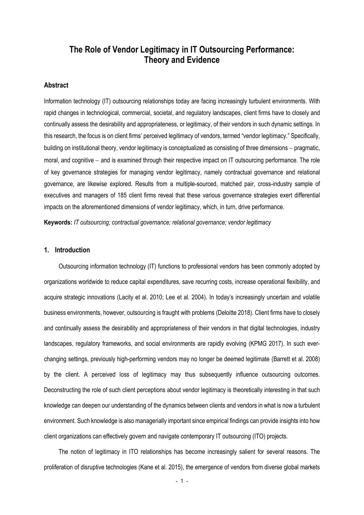# **The Role of Vendor Legitimacy in IT Outsourcing Performance: Theory and Evidence**

# **Abstract**

Information technology (IT) outsourcing relationships today are facing increasingly turbulent environments. With rapid changes in technological, commercial, societal, and regulatory landscapes, client firms have to closely and continually assess the desirability and appropriateness, or legitimacy, of their vendors in such dynamic settings. In this research, the focus is on client firms' perceived legitimacy of vendors, termed "vendor legitimacy." Specifically, building on institutional theory, vendor legitimacy is conceptualized as consisting of three dimensions − pragmatic, moral, and cognitive − and is examined through their respective impact on IT outsourcing performance. The role of key governance strategies for managing vendor legitimacy, namely contractual governance and relational governance, are likewise explored. Results from a multiple-sourced, matched pair, cross-industry sample of executives and managers of 185 client firms reveal that these various governance strategies exert differential impacts on the aforementioned dimensions of vendor legitimacy, which, in turn, drive performance.

**Keywords:** *IT outsourcing; contractual governance; relational governance; vendor legitimacy*

### **1. Introduction**

Outsourcing information technology (IT) functions to professional vendors has been commonly adopted by organizations worldwide to reduce capital expenditures, save recurring costs, increase operational flexibility, and acquire strategic innovations (Lacity et al. 2010; Lee et al. 2004). In today's increasingly uncertain and volatile business environments, however, outsourcing is fraught with problems (Deloitte 2018). Client firms have to closely and continually assess the desirability and appropriateness of their vendors in that digital technologies, industry landscapes, regulatory frameworks, and social environments are rapidly evolving (KPMG 2017). In such everchanging settings, previously high-performing vendors may no longer be deemed legitimate (Barrett et al. 2008) by the client. A perceived loss of legitimacy may thus subsequently influence outsourcing outcomes. Deconstructing the role of such client perceptions about vendor legitimacy is theoretically interesting in that such knowledge can deepen our understanding of the dynamics between clients and vendors in what is now a turbulent environment. Such knowledge is also managerially important since empirical findings can provide insights into how client organizations can effectively govern and navigate contemporary IT outsourcing (ITO) projects.

The notion of legitimacy in ITO relationships has become increasingly salient for several reasons. The proliferation of disruptive technologies (Kane et al. 2015), the emergence of vendors from diverse global markets

- 1 -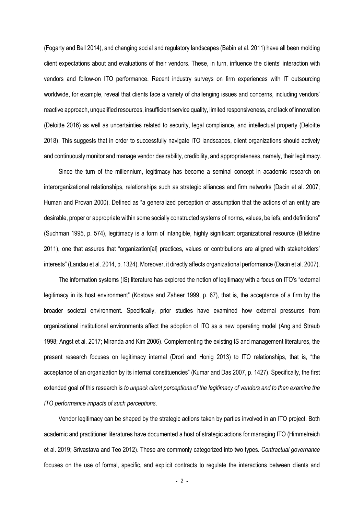(Fogarty and Bell 2014), and changing social and regulatory landscapes (Babin et al. 2011) have all been molding client expectations about and evaluations of their vendors. These, in turn, influence the clients' interaction with vendors and follow-on ITO performance. Recent industry surveys on firm experiences with IT outsourcing worldwide, for example, reveal that clients face a variety of challenging issues and concerns, including vendors' reactive approach, unqualified resources, insufficient service quality, limited responsiveness, and lack of innovation (Deloitte 2016) as well as uncertainties related to security, legal compliance, and intellectual property (Deloitte 2018). This suggests that in order to successfully navigate ITO landscapes, client organizations should actively and continuously monitor and manage vendor desirability, credibility, and appropriateness, namely, their legitimacy.

Since the turn of the millennium, legitimacy has become a seminal concept in academic research on interorganizational relationships, relationships such as strategic alliances and firm networks (Dacin et al. 2007; Human and Provan 2000). Defined as "a generalized perception or assumption that the actions of an entity are desirable, proper or appropriate within some socially constructed systems of norms, values, beliefs, and definitions" (Suchman 1995, p. 574), legitimacy is a form of intangible, highly significant organizational resource (Bitektine 2011), one that assures that "organization[al] practices, values or contributions are aligned with stakeholders' interests" (Landau et al. 2014, p. 1324). Moreover, it directly affects organizational performance (Dacin et al. 2007).

The information systems (IS) literature has explored the notion of legitimacy with a focus on ITO's "external legitimacy in its host environment" (Kostova and Zaheer 1999, p. 67), that is, the acceptance of a firm by the broader societal environment. Specifically, prior studies have examined how external pressures from organizational institutional environments affect the adoption of ITO as a new operating model (Ang and Straub 1998; Angst et al. 2017; Miranda and Kim 2006). Complementing the existing IS and management literatures, the present research focuses on legitimacy internal (Drori and Honig 2013) to ITO relationships, that is, "the acceptance of an organization by its internal constituencies" (Kumar and Das 2007, p. 1427). Specifically, the first extended goal of this research is *to unpack client perceptions of the legitimacy of vendors and to then examine the ITO performance impacts of such perceptions*.

Vendor legitimacy can be shaped by the strategic actions taken by parties involved in an ITO project. Both academic and practitioner literatures have documented a host of strategic actions for managing ITO (Himmelreich et al. 2019; Srivastava and Teo 2012). These are commonly categorized into two types*. Contractual governance* focuses on the use of formal, specific, and explicit contracts to regulate the interactions between clients and

- 2 -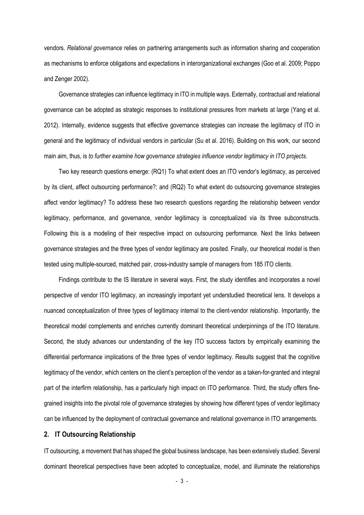vendors*. Relational governance* relies on partnering arrangements such as information sharing and cooperation as mechanisms to enforce obligations and expectations in interorganizational exchanges (Goo et al. 2009; Poppo and Zenger 2002).

Governance strategies can influence legitimacy in ITO in multiple ways. Externally, contractual and relational governance can be adopted as strategic responses to institutional pressures from markets at large (Yang et al. 2012). Internally, evidence suggests that effective governance strategies can increase the legitimacy of ITO in general and the legitimacy of individual vendors in particular (Su et al. 2016). Building on this work, our second main aim, thus, is *to further examine how governance strategies influence vendor legitimacy in ITO projects*.

Two key research questions emerge: (RQ1) To what extent does an ITO vendor's legitimacy, as perceived by its client, affect outsourcing performance?; and (RQ2) To what extent do outsourcing governance strategies affect vendor legitimacy? To address these two research questions regarding the relationship between vendor legitimacy, performance, and governance, vendor legitimacy is conceptualized via its three subconstructs. Following this is a modeling of their respective impact on outsourcing performance. Next the links between governance strategies and the three types of vendor legitimacy are posited. Finally, our theoretical model is then tested using multiple-sourced, matched pair, cross-industry sample of managers from 185 ITO clients.

Findings contribute to the IS literature in several ways. First, the study identifies and incorporates a novel perspective of vendor ITO legitimacy, an increasingly important yet understudied theoretical lens. It develops a nuanced conceptualization of three types of legitimacy internal to the client-vendor relationship. Importantly, the theoretical model complements and enriches currently dominant theoretical underpinnings of the ITO literature. Second, the study advances our understanding of the key ITO success factors by empirically examining the differential performance implications of the three types of vendor legitimacy. Results suggest that the cognitive legitimacy of the vendor, which centers on the client's perception of the vendor as a taken-for-granted and integral part of the interfirm relationship, has a particularly high impact on ITO performance. Third, the study offers finegrained insights into the pivotal role of governance strategies by showing how different types of vendor legitimacy can be influenced by the deployment of contractual governance and relational governance in ITO arrangements.

# **2. IT Outsourcing Relationship**

IT outsourcing, a movement that has shaped the global business landscape, has been extensively studied. Several dominant theoretical perspectives have been adopted to conceptualize, model, and illuminate the relationships

- 3 -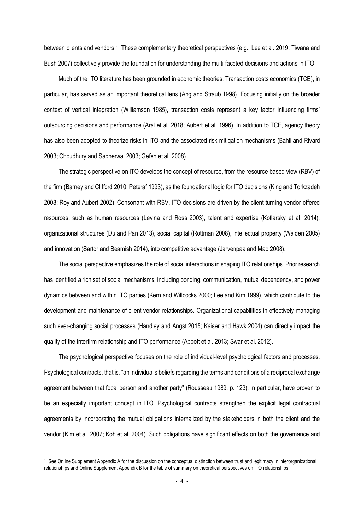between clients and vendors.[1](#page-3-0) These complementary theoretical perspectives (e.g., Lee et al. 2019; Tiwana and Bush 2007) collectively provide the foundation for understanding the multi-faceted decisions and actions in ITO.

Much of the ITO literature has been grounded in economic theories. Transaction costs economics (TCE), in particular, has served as an important theoretical lens (Ang and Straub 1998). Focusing initially on the broader context of vertical integration (Williamson 1985), transaction costs represent a key factor influencing firms' outsourcing decisions and performance (Aral et al. 2018; Aubert et al. 1996). In addition to TCE, agency theory has also been adopted to theorize risks in ITO and the associated risk mitigation mechanisms (Bahli and Rivard 2003; Choudhury and Sabherwal 2003; Gefen et al. 2008).

The strategic perspective on ITO develops the concept of resource, from the resource-based view (RBV) of the firm (Barney and Clifford 2010; Peteraf 1993), as the foundational logic for ITO decisions (King and Torkzadeh 2008; Roy and Aubert 2002). Consonant with RBV, ITO decisions are driven by the client turning vendor-offered resources, such as human resources (Levina and Ross 2003), talent and expertise (Kotlarsky et al. 2014), organizational structures (Du and Pan 2013), social capital (Rottman 2008), intellectual property (Walden 2005) and innovation (Sartor and Beamish 2014), into competitive advantage (Jarvenpaa and Mao 2008).

The social perspective emphasizes the role of social interactions in shaping ITO relationships. Prior research has identified a rich set of social mechanisms, including bonding, communication, mutual dependency, and power dynamics between and within ITO parties (Kern and Willcocks 2000; Lee and Kim 1999), which contribute to the development and maintenance of client-vendor relationships. Organizational capabilities in effectively managing such ever-changing social processes (Handley and Angst 2015; Kaiser and Hawk 2004) can directly impact the quality of the interfirm relationship and ITO performance (Abbott et al. 2013; Swar et al. 2012).

The psychological perspective focuses on the role of individual-level psychological factors and processes. Psychological contracts, that is, "an individual's beliefs regarding the terms and conditions of a reciprocal exchange agreement between that focal person and another party" (Rousseau 1989, p. 123), in particular, have proven to be an especially important concept in ITO. Psychological contracts strengthen the explicit legal contractual agreements by incorporating the mutual obligations internalized by the stakeholders in both the client and the vendor (Kim et al. 2007; Koh et al. 2004). Such obligations have significant effects on both the governance and

<span id="page-3-0"></span><sup>1</sup> See Online Supplement Appendix A for the discussion on the conceptual distinction between trust and legitimacy in interorganizational relationships and Online Supplement Appendix B for the table of summary on theoretical perspectives on ITO relationships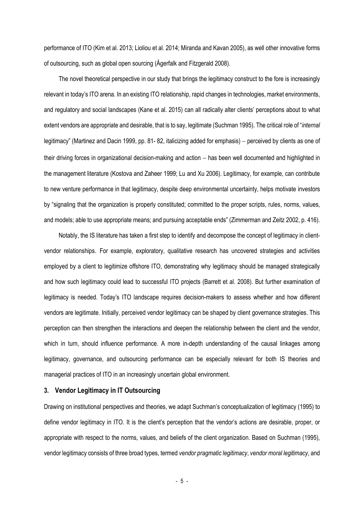performance of ITO (Kim et al. 2013; Lioliou et al. 2014; Miranda and Kavan 2005), as well other innovative forms of outsourcing, such as global open sourcing (Ågerfalk and Fitzgerald 2008).

The novel theoretical perspective in our study that brings the legitimacy construct to the fore is increasingly relevant in today's ITO arena. In an existing ITO relationship, rapid changes in technologies, market environments, and regulatory and social landscapes (Kane et al. 2015) can all radically alter clients' perceptions about to what extent vendors are appropriate and desirable, that is to say, legitimate (Suchman 1995). The critical role of "*internal* legitimacy" (Martinez and Dacin 1999, pp. 81-82, italicizing added for emphasis) – perceived by clients as one of their driving forces in organizational decision-making and action − has been well documented and highlighted in the management literature (Kostova and Zaheer 1999; Lu and Xu 2006). Legitimacy, for example, can contribute to new venture performance in that legitimacy, despite deep environmental uncertainty, helps motivate investors by "signaling that the organization is properly constituted; committed to the proper scripts, rules, norms, values, and models; able to use appropriate means; and pursuing acceptable ends" (Zimmerman and Zeitz 2002, p. 416).

Notably, the IS literature has taken a first step to identify and decompose the concept of legitimacy in clientvendor relationships. For example, exploratory, qualitative research has uncovered strategies and activities employed by a client to legitimize offshore ITO, demonstrating why legitimacy should be managed strategically and how such legitimacy could lead to successful ITO projects (Barrett et al. 2008). But further examination of legitimacy is needed. Today's ITO landscape requires decision-makers to assess whether and how different vendors are legitimate. Initially, perceived vendor legitimacy can be shaped by client governance strategies. This perception can then strengthen the interactions and deepen the relationship between the client and the vendor, which in turn, should influence performance. A more in-depth understanding of the causal linkages among legitimacy, governance, and outsourcing performance can be especially relevant for both IS theories and managerial practices of ITO in an increasingly uncertain global environment.

## **3. Vendor Legitimacy in IT Outsourcing**

Drawing on institutional perspectives and theories, we adapt Suchman's conceptualization of legitimacy (1995) to define vendor legitimacy in ITO. It is the client's perception that the vendor's actions are desirable, proper, or appropriate with respect to the norms, values, and beliefs of the client organization. Based on Suchman (1995), vendor legitimacy consists of three broad types, termed *vendor pragmatic legitimacy*, *vendor moral legitimacy*, and

- 5 -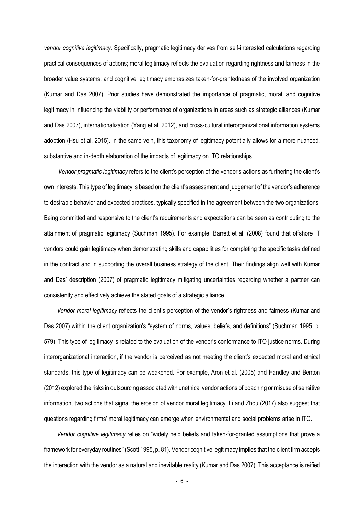*vendor cognitive legitimacy*. Specifically, pragmatic legitimacy derives from self-interested calculations regarding practical consequences of actions; moral legitimacy reflects the evaluation regarding rightness and fairness in the broader value systems; and cognitive legitimacy emphasizes taken-for-grantedness of the involved organization (Kumar and Das 2007). Prior studies have demonstrated the importance of pragmatic, moral, and cognitive legitimacy in influencing the viability or performance of organizations in areas such as strategic alliances (Kumar and Das 2007), internationalization (Yang et al. 2012), and cross-cultural interorganizational information systems adoption (Hsu et al. 2015). In the same vein, this taxonomy of legitimacy potentially allows for a more nuanced, substantive and in-depth elaboration of the impacts of legitimacy on ITO relationships.

*Vendor pragmatic legitimacy* refers to the client's perception of the vendor's actions as furthering the client's own interests. This type of legitimacy is based on the client's assessment and judgement of the vendor's adherence to desirable behavior and expected practices, typically specified in the agreement between the two organizations. Being committed and responsive to the client's requirements and expectations can be seen as contributing to the attainment of pragmatic legitimacy (Suchman 1995). For example, Barrett et al. (2008) found that offshore IT vendors could gain legitimacy when demonstrating skills and capabilities for completing the specific tasks defined in the contract and in supporting the overall business strategy of the client. Their findings align well with Kumar and Das' description (2007) of pragmatic legitimacy mitigating uncertainties regarding whether a partner can consistently and effectively achieve the stated goals of a strategic alliance.

*Vendor moral legitimacy* reflects the client's perception of the vendor's rightness and fairness (Kumar and Das 2007) within the client organization's "system of norms, values, beliefs, and definitions" (Suchman 1995, p. 579). This type of legitimacy is related to the evaluation of the vendor's conformance to ITO justice norms. During interorganizational interaction, if the vendor is perceived as not meeting the client's expected moral and ethical standards, this type of legitimacy can be weakened. For example, Aron et al. (2005) and Handley and Benton (2012) explored the risks in outsourcing associated with unethical vendor actions of poaching or misuse of sensitive information, two actions that signal the erosion of vendor moral legitimacy. Li and Zhou (2017) also suggest that questions regarding firms' moral legitimacy can emerge when environmental and social problems arise in ITO.

*Vendor cognitive legitimacy* relies on "widely held beliefs and taken-for-granted assumptions that prove a framework for everyday routines" (Scott 1995, p. 81). Vendor cognitive legitimacy implies that the client firm accepts the interaction with the vendor as a natural and inevitable reality (Kumar and Das 2007). This acceptance is reified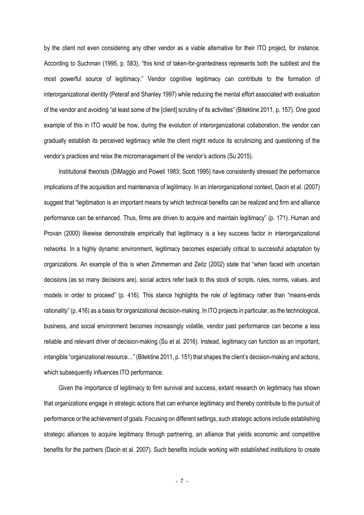by the client not even considering any other vendor as a viable alternative for their ITO project, for instance. According to Suchman (1995, p. 583), "this kind of taken-for-grantedness represents both the subtlest and the most powerful source of legitimacy." Vendor cognitive legitimacy can contribute to the formation of interorganizational identity (Peteraf and Shanley 1997) while reducing the mental effort associated with evaluation of the vendor and avoiding "at least some of the [client] scrutiny of its activities" (Bitektine 2011, p. 157). One good example of this in ITO would be how, during the evolution of interorganizational collaboration, the vendor can gradually establish its perceived legitimacy while the client might reduce its scrutinizing and questioning of the vendor's practices and relax the micromanagement of the vendor's actions (Su 2015).

Institutional theorists (DiMaggio and Powell 1983; Scott 1995) have consistently stressed the performance implications of the acquisition and maintenance of legitimacy. In an interorganizational context, Dacin et al. (2007) suggest that "legitimation is an important means by which technical benefits can be realized and firm and alliance performance can be enhanced. Thus, firms are driven to acquire and maintain legitimacy" (p. 171). Human and Provan (2000) likewise demonstrate empirically that legitimacy is a key success factor in interorganizational networks. In a highly dynamic environment, legitimacy becomes especially critical to successful adaptation by organizations. An example of this is when Zimmerman and Zeitz (2002) state that "when faced with uncertain decisions (as so many decisions are), social actors refer back to this stock of scripts, rules, norms, values, and models in order to proceed" (p. 416). This stance highlights the role of legitimacy rather than "means-ends rationality" (p. 416) as a basis for organizational decision-making. In ITO projects in particular, as the technological, business, and social environment becomes increasingly volatile, vendor past performance can become a less reliable and relevant driver of decision-making (Su et al. 2016). Instead, legitimacy can function as an important, intangible "organizational resource…" (Bitektine 2011, p. 151) that shapes the client's decision-making and actions, which subsequently influences ITO performance.

Given the importance of legitimacy to firm survival and success, extant research on legitimacy has shown that organizations engage in strategic actions that can enhance legitimacy and thereby contribute to the pursuit of performance or the achievement of goals. Focusing on different settings, such strategic actions include establishing strategic alliances to acquire legitimacy through partnering, an alliance that yields economic and competitive benefits for the partners (Dacin et al. 2007). Such benefits include working with established institutions to create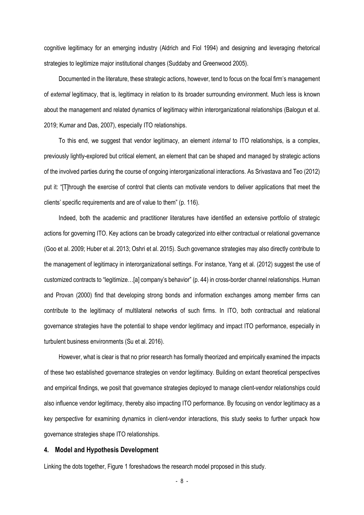cognitive legitimacy for an emerging industry (Aldrich and Fiol 1994) and designing and leveraging rhetorical strategies to legitimize major institutional changes (Suddaby and Greenwood 2005).

Documented in the literature, these strategic actions, however, tend to focus on the focal firm's management of *external* legitimacy, that is, legitimacy in relation to its broader surrounding environment. Much less is known about the management and related dynamics of legitimacy within interorganizational relationships (Balogun et al. 2019; Kumar and Das, 2007), especially ITO relationships.

To this end, we suggest that vendor legitimacy, an element *internal* to ITO relationships, is a complex, previously lightly-explored but critical element, an element that can be shaped and managed by strategic actions of the involved parties during the course of ongoing interorganizational interactions. As Srivastava and Teo (2012) put it: "[T]hrough the exercise of control that clients can motivate vendors to deliver applications that meet the clients' specific requirements and are of value to them" (p. 116).

Indeed, both the academic and practitioner literatures have identified an extensive portfolio of strategic actions for governing ITO. Key actions can be broadly categorized into either contractual or relational governance (Goo et al. 2009; Huber et al. 2013; Oshri et al. 2015). Such governance strategies may also directly contribute to the management of legitimacy in interorganizational settings. For instance, Yang et al. (2012) suggest the use of customized contracts to "legitimize…[a] company's behavior" (p. 44) in cross-border channel relationships. Human and Provan (2000) find that developing strong bonds and information exchanges among member firms can contribute to the legitimacy of multilateral networks of such firms. In ITO, both contractual and relational governance strategies have the potential to shape vendor legitimacy and impact ITO performance, especially in turbulent business environments (Su et al. 2016).

However, what is clear is that no prior research has formally theorized and empirically examined the impacts of these two established governance strategies on vendor legitimacy. Building on extant theoretical perspectives and empirical findings, we posit that governance strategies deployed to manage client-vendor relationships could also influence vendor legitimacy, thereby also impacting ITO performance. By focusing on vendor legitimacy as a key perspective for examining dynamics in client-vendor interactions, this study seeks to further unpack how governance strategies shape ITO relationships.

### **4. Model and Hypothesis Development**

Linking the dots together, Figure 1 foreshadows the research model proposed in this study.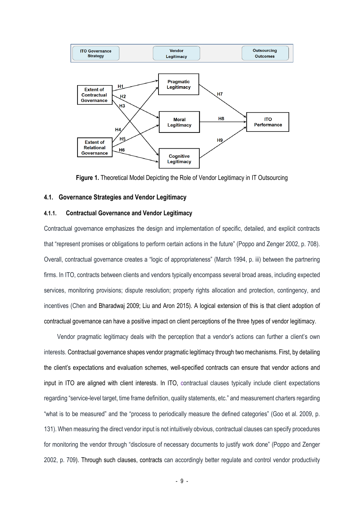

**Figure 1.** Theoretical Model Depicting the Role of Vendor Legitimacy in IT Outsourcing

### **4.1. Governance Strategies and Vendor Legitimacy**

## **4.1.1. Contractual Governance and Vendor Legitimacy**

Contractual governance emphasizes the design and implementation of specific, detailed, and explicit contracts that "represent promises or obligations to perform certain actions in the future" (Poppo and Zenger 2002, p. 708). Overall, contractual governance creates a "logic of appropriateness" (March 1994, p. iii) between the partnering firms. In ITO, contracts between clients and vendors typically encompass several broad areas, including expected services, monitoring provisions; dispute resolution; property rights allocation and protection, contingency, and incentives (Chen and Bharadwaj 2009; Liu and Aron 2015). A logical extension of this is that client adoption of contractual governance can have a positive impact on client perceptions of the three types of vendor legitimacy.

Vendor pragmatic legitimacy deals with the perception that a vendor's actions can further a client's own interests. Contractual governance shapes vendor pragmatic legitimacy through two mechanisms. First, by detailing the client's expectations and evaluation schemes, well-specified contracts can ensure that vendor actions and input in ITO are aligned with client interests. In ITO, contractual clauses typically include client expectations regarding "service-level target, time frame definition, quality statements, etc." and measurement charters regarding "what is to be measured" and the "process to periodically measure the defined categories" (Goo et al. 2009, p. 131). When measuring the direct vendor input is not intuitively obvious, contractual clauses can specify procedures for monitoring the vendor through "disclosure of necessary documents to justify work done" (Poppo and Zenger 2002, p. 709). Through such clauses, contracts can accordingly better regulate and control vendor productivity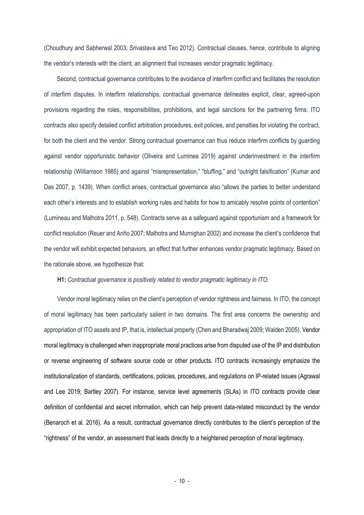(Choudhury and Sabherwal 2003; Srivastava and Teo 2012). Contractual clauses, hence, contribute to aligning the vendor's interests with the client, an alignment that increases vendor pragmatic legitimacy.

Second, contractual governance contributes to the avoidance of interfirm conflict and facilitates the resolution of interfirm disputes. In interfirm relationships, contractual governance delineates explicit, clear, agreed-upon provisions regarding the roles, responsibilities, prohibitions, and legal sanctions for the partnering firms. ITO contracts also specify detailed conflict arbitration procedures, exit policies, and penalties for violating the contract, for both the client and the vendor. Strong contractual governance can thus reduce interfirm conflicts by guarding against vendor opportunistic behavior (Oliveira and Luminea 2019) against underinvestment in the interfirm relationship (Williamson 1985) and against "misrepresentation," "bluffing," and "outright falsification" (Kumar and Das 2007, p. 1439). When conflict arises, contractual governance also "allows the parties to better understand each other's interests and to establish working rules and habits for how to amicably resolve points of contention" (Lumineau and Malhotra 2011, p. 548). Contracts serve as a safeguard against opportunism and a framework for conflict resolution (Reuer and Ariño 2007; Malhotra and Murnighan 2002) and increase the client's confidence that the vendor will exhibit expected behaviors, an effect that further enhances vendor pragmatic legitimacy. Based on the rationale above, we hypothesize that:

#### **H1:** *Contractual governance is positively related to vendor pragmatic legitimacy in ITO.*

Vendor moral legitimacy relies on the client's perception of vendor rightness and fairness. In ITO, the concept of moral legitimacy has been particularly salient in two domains. The first area concerns the ownership and appropriation of ITO assets and IP, that is, intellectual property (Chen and Bharadwaj 2009; Walden 2005). Vendor moral legitimacy is challenged when inappropriate moral practices arise from disputed use of the IP and distribution or reverse engineering of software source code or other products. ITO contracts increasingly emphasize the institutionalization of standards, certifications, policies, procedures, and regulations on IP-related issues (Agrawal and Lee 2019; Bartley 2007). For instance, service level agreements (SLAs) in ITO contracts provide clear definition of confidential and secret information, which can help prevent data-related misconduct by the vendor (Benaroch et al. 2016). As a result, contractual governance directly contributes to the client's perception of the "rightness" of the vendor, an assessment that leads directly to a heightened perception of moral legitimacy.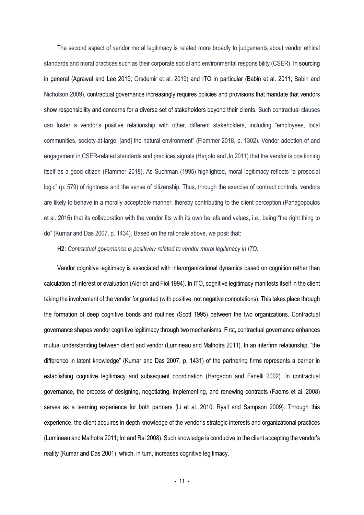The second aspect of vendor moral legitimacy is related more broadly to judgements about vendor ethical standards and moral practices such as their corporate social and environmental responsibility (CSER). In sourcing in general (Agrawal and Lee 2019; Orsdemir et al. 2019) and ITO in particular (Babin et al. 2011; Babin and Nicholson 2009), contractual governance increasingly requires policies and provisions that mandate that vendors show responsibility and concerns for a diverse set of stakeholders beyond their clients. Such contractual clauses can foster a vendor's positive relationship with other, different stakeholders, including "employees, local communities, society-at-large, [and] the natural environment" (Flammer 2018, p. 1302). Vendor adoption of and engagement in CSER-related standards and practices signals (Harjoto and Jo 2011) that the vendor is positioning itself as a good citizen (Flammer 2018). As Suchman (1995) highlighted, moral legitimacy reflects "a prosocial logic" (p. 579) of rightness and the sense of citizenship. Thus, through the exercise of contract controls, vendors are likely to behave in a morally acceptable manner, thereby contributing to the client perception (Panagopoulos et al. 2016) that its collaboration with the vendor fits with its own beliefs and values, i.e., being "the right thing to do" (Kumar and Das 2007, p. 1434). Based on the rationale above, we posit that:

**H2:** *Contractual governance is positively related to vendor moral legitimacy in ITO.*

Vendor cognitive legitimacy is associated with interorganizational dynamics based on cognition rather than calculation of interest or evaluation (Aldrich and Fiol 1994). In ITO, cognitive legitimacy manifests itself in the client taking the involvement of the vendor for granted (with positive, not negative connotations). This takes place through the formation of deep cognitive bonds and routines (Scott 1995) between the two organizations. Contractual governance shapes vendor cognitive legitimacy through two mechanisms. First, contractual governance enhances mutual understanding between client and vendor (Lumineau and Malhotra 2011). In an interfirm relationship, "the difference in latent knowledge" (Kumar and Das 2007, p. 1431) of the partnering firms represents a barrier in establishing cognitive legitimacy and subsequent coordination (Hargadon and Fanelli 2002). In contractual governance, the process of designing, negotiating, implementing, and renewing contracts (Faems et al. 2008) serves as a learning experience for both partners (Li et al. 2010; Ryall and Sampson 2009). Through this experience, the client acquires in-depth knowledge of the vendor's strategic interests and organizational practices (Lumineau and Malhotra 2011; Im and Rai 2008). Such knowledge is conducive to the client accepting the vendor's reality (Kumar and Das 2001), which, in turn, increases cognitive legitimacy.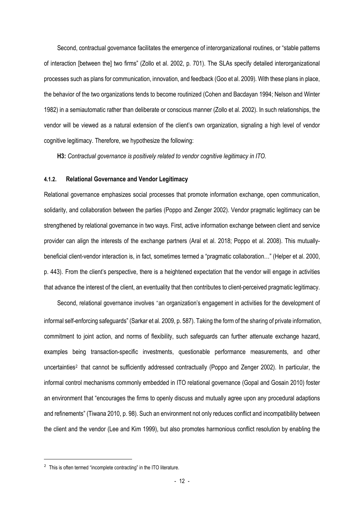Second, contractual governance facilitates the emergence of interorganizational routines, or "stable patterns of interaction [between the] two firms" (Zollo et al. 2002, p. 701). The SLAs specify detailed interorganizational processes such as plans for communication, innovation, and feedback (Goo et al. 2009). With these plans in place, the behavior of the two organizations tends to become routinized (Cohen and Bacdayan 1994; Nelson and Winter 1982) in a semiautomatic rather than deliberate or conscious manner (Zollo et al. 2002). In such relationships, the vendor will be viewed as a natural extension of the client's own organization, signaling a high level of vendor cognitive legitimacy. Therefore, we hypothesize the following:

**H3:** *Contractual governance is positively related to vendor cognitive legitimacy in ITO.*

### **4.1.2. Relational Governance and Vendor Legitimacy**

Relational governance emphasizes social processes that promote information exchange, open communication, solidarity, and collaboration between the parties (Poppo and Zenger 2002). Vendor pragmatic legitimacy can be strengthened by relational governance in two ways. First, active information exchange between client and service provider can align the interests of the exchange partners (Aral et al. 2018; Poppo et al. 2008). This mutuallybeneficial client-vendor interaction is, in fact, sometimes termed a "pragmatic collaboration…" (Helper et al. 2000, p. 443). From the client's perspective, there is a heightened expectation that the vendor will engage in activities that advance the interest of the client, an eventuality that then contributes to client-perceived pragmatic legitimacy.

Second, relational governance involves "an organization's engagement in activities for the development of informal self-enforcing safeguards" (Sarkar et al. 2009, p. 587). Taking the form of the sharing of private information, commitment to joint action, and norms of flexibility, such safeguards can further attenuate exchange hazard, examples being transaction-specific investments, questionable performance measurements, and other uncertainties<sup>[2](#page-11-0)</sup> that cannot be sufficiently addressed contractually (Poppo and Zenger 2002). In particular, the informal control mechanisms commonly embedded in ITO relational governance (Gopal and Gosain 2010) foster an environment that "encourages the firms to openly discuss and mutually agree upon any procedural adaptions and refinements" (Tiwana 2010, p. 98). Such an environment not only reduces conflict and incompatibility between the client and the vendor (Lee and Kim 1999), but also promotes harmonious conflict resolution by enabling the

<span id="page-11-0"></span> $2$  This is often termed "incomplete contracting" in the ITO literature.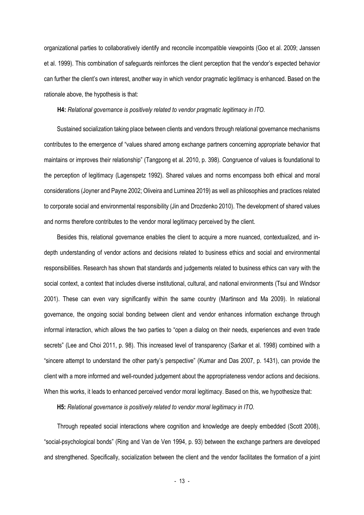organizational parties to collaboratively identify and reconcile incompatible viewpoints (Goo et al. 2009; Janssen et al. 1999). This combination of safeguards reinforces the client perception that the vendor's expected behavior can further the client's own interest, another way in which vendor pragmatic legitimacy is enhanced. Based on the rationale above, the hypothesis is that:

**H4:** *Relational governance is positively related to vendor pragmatic legitimacy in ITO.*

Sustained socialization taking place between clients and vendors through relational governance mechanisms contributes to the emergence of "values shared among exchange partners concerning appropriate behavior that maintains or improves their relationship" (Tangpong et al. 2010, p. 398). Congruence of values is foundational to the perception of legitimacy (Lagenspetz 1992). Shared values and norms encompass both ethical and moral considerations (Joyner and Payne 2002; Oliveira and Luminea 2019) as well as philosophies and practices related to corporate social and environmental responsibility (Jin and Drozdenko 2010). The development of shared values and norms therefore contributes to the vendor moral legitimacy perceived by the client.

Besides this, relational governance enables the client to acquire a more nuanced, contextualized, and indepth understanding of vendor actions and decisions related to business ethics and social and environmental responsibilities. Research has shown that standards and judgements related to business ethics can vary with the social context, a context that includes diverse institutional, cultural, and national environments (Tsui and Windsor 2001). These can even vary significantly within the same country (Martinson and Ma 2009). In relational governance, the ongoing social bonding between client and vendor enhances information exchange through informal interaction, which allows the two parties to "open a dialog on their needs, experiences and even trade secrets" (Lee and Choi 2011, p. 98). This increased level of transparency (Sarkar et al. 1998) combined with a "sincere attempt to understand the other party's perspective" (Kumar and Das 2007, p. 1431), can provide the client with a more informed and well-rounded judgement about the appropriateness vendor actions and decisions. When this works, it leads to enhanced perceived vendor moral legitimacy. Based on this, we hypothesize that:

**H5:** *Relational governance is positively related to vendor moral legitimacy in ITO.*

Through repeated social interactions where cognition and knowledge are deeply embedded (Scott 2008), "social-psychological bonds" (Ring and Van de Ven 1994, p. 93) between the exchange partners are developed and strengthened. Specifically, socialization between the client and the vendor facilitates the formation of a joint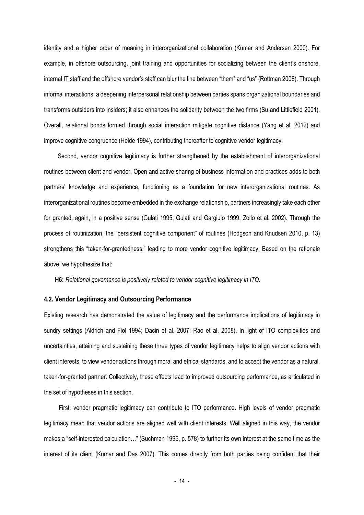identity and a higher order of meaning in interorganizational collaboration (Kumar and Andersen 2000). For example, in offshore outsourcing, joint training and opportunities for socializing between the client's onshore, internal IT staff and the offshore vendor's staff can blur the line between "them" and "us" (Rottman 2008). Through informal interactions, a deepening interpersonal relationship between parties spans organizational boundaries and transforms outsiders into insiders; it also enhances the solidarity between the two firms (Su and Littlefield 2001). Overall, relational bonds formed through social interaction mitigate cognitive distance (Yang et al. 2012) and improve cognitive congruence (Heide 1994), contributing thereafter to cognitive vendor legitimacy.

Second, vendor cognitive legitimacy is further strengthened by the establishment of interorganizational routines between client and vendor. Open and active sharing of business information and practices adds to both partners' knowledge and experience, functioning as a foundation for new interorganizational routines. As interorganizational routines become embedded in the exchange relationship, partners increasingly take each other for granted, again, in a positive sense (Gulati 1995; Gulati and Gargiulo 1999; Zollo et al. 2002). Through the process of routinization, the "persistent cognitive component" of routines (Hodgson and Knudsen 2010, p. 13) strengthens this "taken-for-grantedness," leading to more vendor cognitive legitimacy. Based on the rationale above, we hypothesize that:

**H6:** *Relational governance is positively related to vendor cognitive legitimacy in ITO.*

### **4.2. Vendor Legitimacy and Outsourcing Performance**

Existing research has demonstrated the value of legitimacy and the performance implications of legitimacy in sundry settings (Aldrich and Fiol 1994; Dacin et al. 2007; Rao et al. 2008). In light of ITO complexities and uncertainties, attaining and sustaining these three types of vendor legitimacy helps to align vendor actions with client interests, to view vendor actions through moral and ethical standards, and to accept the vendor as a natural, taken-for-granted partner. Collectively, these effects lead to improved outsourcing performance, as articulated in the set of hypotheses in this section.

First, vendor pragmatic legitimacy can contribute to ITO performance. High levels of vendor pragmatic legitimacy mean that vendor actions are aligned well with client interests. Well aligned in this way, the vendor makes a "self-interested calculation…" (Suchman 1995, p. 578) to further its own interest at the same time as the interest of its client (Kumar and Das 2007). This comes directly from both parties being confident that their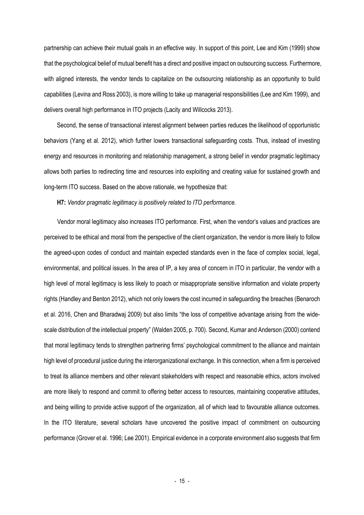partnership can achieve their mutual goals in an effective way. In support of this point, Lee and Kim (1999) show that the psychological belief of mutual benefit has a direct and positive impact on outsourcing success. Furthermore, with aligned interests, the vendor tends to capitalize on the outsourcing relationship as an opportunity to build capabilities (Levina and Ross 2003), is more willing to take up managerial responsibilities (Lee and Kim 1999), and delivers overall high performance in ITO projects (Lacity and Willcocks 2013).

Second, the sense of transactional interest alignment between parties reduces the likelihood of opportunistic behaviors (Yang et al. 2012), which further lowers transactional safeguarding costs. Thus, instead of investing energy and resources in monitoring and relationship management, a strong belief in vendor pragmatic legitimacy allows both parties to redirecting time and resources into exploiting and creating value for sustained growth and long-term ITO success. Based on the above rationale, we hypothesize that:

**H7:** *Vendor pragmatic legitimacy is positively related to ITO performance.*

Vendor moral legitimacy also increases ITO performance. First, when the vendor's values and practices are perceived to be ethical and moral from the perspective of the client organization, the vendor is more likely to follow the agreed-upon codes of conduct and maintain expected standards even in the face of complex social, legal, environmental, and political issues. In the area of IP, a key area of concern in ITO in particular, the vendor with a high level of moral legitimacy is less likely to poach or misappropriate sensitive information and violate property rights (Handley and Benton 2012), which not only lowers the cost incurred in safeguarding the breaches (Benaroch et al. 2016, Chen and Bharadwaj 2009) but also limits "the loss of competitive advantage arising from the widescale distribution of the intellectual property" (Walden 2005, p. 700). Second, Kumar and Anderson (2000) contend that moral legitimacy tends to strengthen partnering firms' psychological commitment to the alliance and maintain high level of procedural justice during the interorganizational exchange. In this connection, when a firm is perceived to treat its alliance members and other relevant stakeholders with respect and reasonable ethics, actors involved are more likely to respond and commit to offering better access to resources, maintaining cooperative attitudes, and being willing to provide active support of the organization, all of which lead to favourable alliance outcomes. In the ITO literature, several scholars have uncovered the positive impact of commitment on outsourcing performance (Grover et al. 1996; Lee 2001). Empirical evidence in a corporate environment also suggests that firm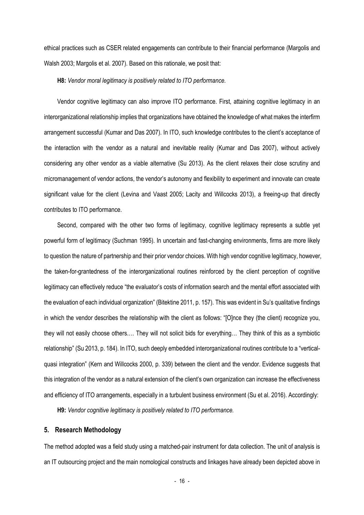ethical practices such as CSER related engagements can contribute to their financial performance (Margolis and Walsh 2003; Margolis et al. 2007). Based on this rationale, we posit that:

**H8:** *Vendor moral legitimacy is positively related to ITO performance.*

Vendor cognitive legitimacy can also improve ITO performance. First, attaining cognitive legitimacy in an interorganizational relationship implies that organizations have obtained the knowledge of what makes the interfirm arrangement successful (Kumar and Das 2007). In ITO, such knowledge contributes to the client's acceptance of the interaction with the vendor as a natural and inevitable reality (Kumar and Das 2007), without actively considering any other vendor as a viable alternative (Su 2013). As the client relaxes their close scrutiny and micromanagement of vendor actions, the vendor's autonomy and flexibility to experiment and innovate can create significant value for the client (Levina and Vaast 2005; Lacity and Willcocks 2013), a freeing-up that directly contributes to ITO performance.

Second, compared with the other two forms of legitimacy, cognitive legitimacy represents a subtle yet powerful form of legitimacy (Suchman 1995). In uncertain and fast-changing environments, firms are more likely to question the nature of partnership and their prior vendor choices. With high vendor cognitive legitimacy, however, the taken-for-grantedness of the interorganizational routines reinforced by the client perception of cognitive legitimacy can effectively reduce "the evaluator's costs of information search and the mental effort associated with the evaluation of each individual organization" (Bitektine 2011, p. 157). This was evident in Su's qualitative findings in which the vendor describes the relationship with the client as follows: "[O]nce they (the client) recognize you, they will not easily choose others.… They will not solicit bids for everything… They think of this as a symbiotic relationship" (Su 2013, p. 184). In ITO, such deeply embedded interorganizational routines contribute to a "verticalquasi integration" (Kern and Willcocks 2000, p. 339) between the client and the vendor. Evidence suggests that this integration of the vendor as a natural extension of the client's own organization can increase the effectiveness and efficiency of ITO arrangements, especially in a turbulent business environment (Su et al. 2016). Accordingly:

**H9:** *Vendor cognitive legitimacy is positively related to ITO performance.*

# **5. Research Methodology**

The method adopted was a field study using a matched-pair instrument for data collection. The unit of analysis is an IT outsourcing project and the main nomological constructs and linkages have already been depicted above in

 $-16$  -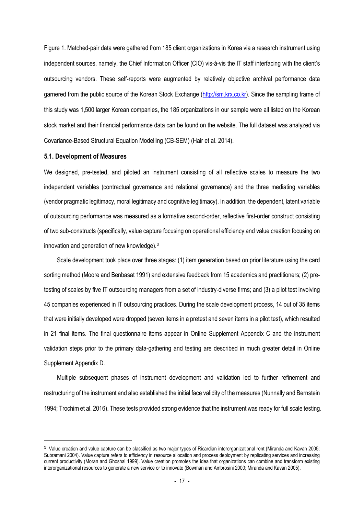Figure 1. Matched-pair data were gathered from 185 client organizations in Korea via a research instrument using independent sources, namely, the Chief Information Officer (CIO) vis-à-vis the IT staff interfacing with the client's outsourcing vendors. These self-reports were augmented by relatively objective archival performance data garnered from the public source of the Korean Stock Exchange [\(http://sm.krx.co.kr\)](http://sm.krx.co.kr/). Since the sampling frame of this study was 1,500 larger Korean companies, the 185 organizations in our sample were all listed on the Korean stock market and their financial performance data can be found on the website. The full dataset was analyzed via Covariance-Based Structural Equation Modelling (CB-SEM) (Hair et al. 2014).

#### **5.1. Development of Measures**

We designed, pre-tested, and piloted an instrument consisting of all reflective scales to measure the two independent variables (contractual governance and relational governance) and the three mediating variables (vendor pragmatic legitimacy, moral legitimacy and cognitive legitimacy). In addition, the dependent, latent variable of outsourcing performance was measured as a formative second-order, reflective first-order construct consisting of two sub-constructs (specifically, value capture focusing on operational efficiency and value creation focusing on innovation and generation of new knowledge).[3](#page-16-0)

Scale development took place over three stages: (1) item generation based on prior literature using the card sorting method (Moore and Benbasat 1991) and extensive feedback from 15 academics and practitioners; (2) pretesting of scales by five IT outsourcing managers from a set of industry-diverse firms; and (3) a pilot test involving 45 companies experienced in IT outsourcing practices. During the scale development process, 14 out of 35 items that were initially developed were dropped (seven items in a pretest and seven items in a pilot test), which resulted in 21 final items. The final questionnaire items appear in Online Supplement Appendix C and the instrument validation steps prior to the primary data-gathering and testing are described in much greater detail in Online Supplement Appendix D.

Multiple subsequent phases of instrument development and validation led to further refinement and restructuring of the instrument and also established the initial face validity of the measures (Nunnally and Bernstein 1994; Trochim et al. 2016). These tests provided strong evidence that the instrument was ready for full scale testing.

<span id="page-16-0"></span><sup>&</sup>lt;sup>3</sup> Value creation and value capture can be classified as two major types of Ricardian interorganizational rent (Miranda and Kavan 2005; Subramani 2004). Value capture refers to efficiency in resource allocation and process deployment by replicating services and increasing current productivity (Moran and Ghoshal 1999). Value creation promotes the idea that organizations can combine and transform existing interorganizational resources to generate a new service or to innovate (Bowman and Ambrosini 2000; Miranda and Kavan 2005).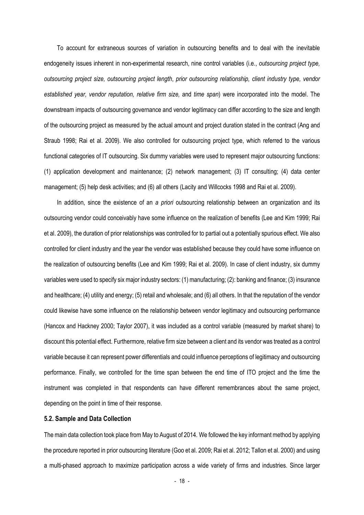To account for extraneous sources of variation in outsourcing benefits and to deal with the inevitable endogeneity issues inherent in non-experimental research, nine control variables (i.e., *outsourcing project type, outsourcing project size, outsourcing project length*, *prior outsourcing relationship, client industry type, vendor established year, vendor reputation, relative firm size,* and *time span*) were incorporated into the model. The downstream impacts of outsourcing governance and vendor legitimacy can differ according to the size and length of the outsourcing project as measured by the actual amount and project duration stated in the contract (Ang and Straub 1998; Rai et al. 2009). We also controlled for outsourcing project type, which referred to the various functional categories of IT outsourcing. Six dummy variables were used to represent major outsourcing functions: (1) application development and maintenance; (2) network management; (3) IT consulting; (4) data center management; (5) help desk activities; and (6) all others (Lacity and Willcocks 1998 and Rai et al. 2009).

In addition, since the existence of an *a priori* outsourcing relationship between an organization and its outsourcing vendor could conceivably have some influence on the realization of benefits (Lee and Kim 1999; Rai et al. 2009), the duration of prior relationships was controlled for to partial out a potentially spurious effect. We also controlled for client industry and the year the vendor was established because they could have some influence on the realization of outsourcing benefits (Lee and Kim 1999; Rai et al. 2009). In case of client industry, six dummy variables were used to specify six major industry sectors: (1)manufacturing; (2): banking and finance; (3) insurance and healthcare; (4) utility and energy; (5) retail and wholesale; and (6) all others. In that the reputation of the vendor could likewise have some influence on the relationship between vendor legitimacy and outsourcing performance (Hancox and Hackney 2000; Taylor 2007), it was included as a control variable (measured by market share) to discount this potential effect. Furthermore, relative firm size between a client and its vendor was treated as a control variable because it can represent power differentials and could influence perceptions of legitimacy and outsourcing performance. Finally, we controlled for the time span between the end time of ITO project and the time the instrument was completed in that respondents can have different remembrances about the same project, depending on the point in time of their response.

# **5.2. Sample and Data Collection**

The main data collection took place from May to August of 2014. We followed the key informant method by applying the procedure reported in prior outsourcing literature (Goo et al. 2009; Rai et al. 2012; Tallon et al. 2000) and using a multi-phased approach to maximize participation across a wide variety of firms and industries. Since larger

- 18 -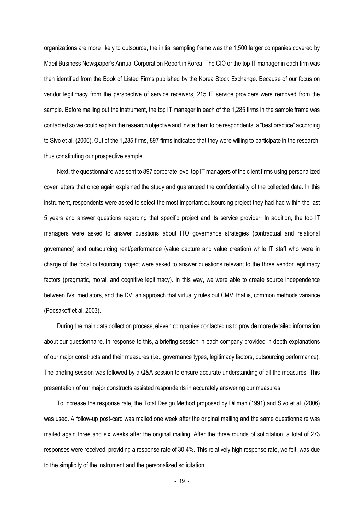organizations are more likely to outsource, the initial sampling frame was the 1,500 larger companies covered by Maeil Business Newspaper's Annual Corporation Report in Korea. The CIO or the top IT manager in each firm was then identified from the Book of Listed Firms published by the Korea Stock Exchange. Because of our focus on vendor legitimacy from the perspective of service receivers, 215 IT service providers were removed from the sample. Before mailing out the instrument, the top IT manager in each of the 1,285 firms in the sample frame was contacted so we could explain the research objective and invite them to be respondents, a "best practice" according to Sivo et al. (2006). Out of the 1,285 firms, 897 firms indicated that they were willing to participate in the research, thus constituting our prospective sample.

Next, the questionnaire was sent to 897 corporate level top IT managers of the client firms using personalized cover letters that once again explained the study and guaranteed the confidentiality of the collected data. In this instrument, respondents were asked to select the most important outsourcing project they had had within the last 5 years and answer questions regarding that specific project and its service provider. In addition, the top IT managers were asked to answer questions about ITO governance strategies (contractual and relational governance) and outsourcing rent/performance (value capture and value creation) while IT staff who were in charge of the focal outsourcing project were asked to answer questions relevant to the three vendor legitimacy factors (pragmatic, moral, and cognitive legitimacy). In this way, we were able to create source independence between IVs, mediators, and the DV, an approach that virtually rules out CMV, that is, common methods variance (Podsakoff et al. 2003).

During the main data collection process, eleven companies contacted us to provide more detailed information about our questionnaire. In response to this, a briefing session in each company provided in-depth explanations of our major constructs and their measures (i.e., governance types, legitimacy factors, outsourcing performance). The briefing session was followed by a Q&A session to ensure accurate understanding of all the measures. This presentation of our major constructs assisted respondents in accurately answering our measures.

To increase the response rate, the Total Design Method proposed by Dillman (1991) and Sivo et al. (2006) was used. A follow-up post-card was mailed one week after the original mailing and the same questionnaire was mailed again three and six weeks after the original mailing. After the three rounds of solicitation, a total of 273 responses were received, providing a response rate of 30.4%. This relatively high response rate, we felt, was due to the simplicity of the instrument and the personalized solicitation.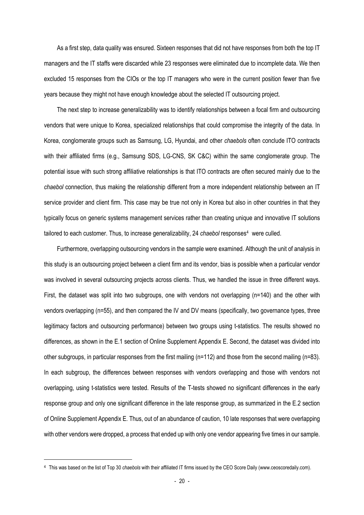As a first step, data quality was ensured. Sixteen responses that did not have responses from both the top IT managers and the IT staffs were discarded while 23 responses were eliminated due to incomplete data. We then excluded 15 responses from the CIOs or the top IT managers who were in the current position fewer than five years because they might not have enough knowledge about the selected IT outsourcing project.

The next step to increase generalizability was to identify relationships between a focal firm and outsourcing vendors that were unique to Korea, specialized relationships that could compromise the integrity of the data. In Korea, conglomerate groups such as Samsung, LG, Hyundai, and other *chaebols* often conclude ITO contracts with their affiliated firms (e.g., Samsung SDS, LG-CNS, SK C&C) within the same conglomerate group. The potential issue with such strong affiliative relationships is that ITO contracts are often secured mainly due to the *chaebol* connection, thus making the relationship different from a more independent relationship between an IT service provider and client firm. This case may be true not only in Korea but also in other countries in that they typically focus on generic systems management services rather than creating unique and innovative IT solutions tailored to each customer. Thus, to increase generalizability, 24 *chaebol* responses[4](#page-19-0) were culled.

Furthermore, overlapping outsourcing vendors in the sample were examined. Although the unit of analysis in this study is an outsourcing project between a client firm and its vendor, bias is possible when a particular vendor was involved in several outsourcing projects across clients. Thus, we handled the issue in three different ways. First, the dataset was split into two subgroups, one with vendors not overlapping (n=140) and the other with vendors overlapping (n=55), and then compared the IV and DV means (specifically, two governance types, three legitimacy factors and outsourcing performance) between two groups using t-statistics. The results showed no differences, as shown in the E.1 section of Online Supplement Appendix E. Second, the dataset was divided into other subgroups, in particular responses from the first mailing (n=112) and those from the second mailing (n=83). In each subgroup, the differences between responses with vendors overlapping and those with vendors not overlapping, using t-statistics were tested. Results of the T-tests showed no significant differences in the early response group and only one significant difference in the late response group, as summarized in the E.2 section of Online Supplement Appendix E. Thus, out of an abundance of caution, 10 late responses that were overlapping with other vendors were dropped, a process that ended up with only one vendor appearing five times in our sample.

<span id="page-19-0"></span><sup>4</sup> This was based on the list of Top 30 *chaebols* with their affiliated IT firms issued by the CEO Score Daily [\(www.ceoscoredaily.com\)](http://www.ceoscoredaily.com/).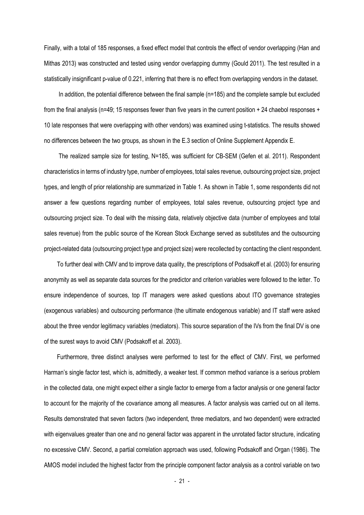Finally, with a total of 185 responses, a fixed effect model that controls the effect of vendor overlapping (Han and Mithas 2013) was constructed and tested using vendor overlapping dummy (Gould 2011). The test resulted in a statistically insignificant p-value of 0.221, inferring that there is no effect from overlapping vendors in the dataset.

In addition, the potential difference between the final sample (n=185) and the complete sample but excluded from the final analysis (n=49; 15 responses fewer than five years in the current position + 24 chaebol responses + 10 late responses that were overlapping with other vendors) was examined using t-statistics. The results showed no differences between the two groups, as shown in the E.3 section of Online Supplement Appendix E.

The realized sample size for testing, N=185, was sufficient for CB-SEM (Gefen et al. 2011). Respondent characteristics in terms of industry type, number of employees, total sales revenue, outsourcing project size, project types, and length of prior relationship are summarized in Table 1. As shown in Table 1, some respondents did not answer a few questions regarding number of employees, total sales revenue, outsourcing project type and outsourcing project size. To deal with the missing data, relatively objective data (number of employees and total sales revenue) from the public source of the Korean Stock Exchange served as substitutes and the outsourcing project-related data (outsourcing project type and project size) were recollected by contacting the client respondent.

To further deal with CMV and to improve data quality, the prescriptions of Podsakoff et al. (2003) for ensuring anonymity as well as separate data sources for the predictor and criterion variables were followed to the letter. To ensure independence of sources, top IT managers were asked questions about ITO governance strategies (exogenous variables) and outsourcing performance (the ultimate endogenous variable) and IT staff were asked about the three vendor legitimacy variables (mediators). This source separation of the IVs from the final DV is one of the surest ways to avoid CMV (Podsakoff et al. 2003).

Furthermore, three distinct analyses were performed to test for the effect of CMV. First, we performed Harman's single factor test, which is, admittedly, a weaker test. If common method variance is a serious problem in the collected data, one might expect either a single factor to emerge from a factor analysis or one general factor to account for the majority of the covariance among all measures. A factor analysis was carried out on all items. Results demonstrated that seven factors (two independent, three mediators, and two dependent) were extracted with eigenvalues greater than one and no general factor was apparent in the unrotated factor structure, indicating no excessive CMV. Second, a partial correlation approach was used, following Podsakoff and Organ (1986). The AMOS model included the highest factor from the principle component factor analysis as a control variable on two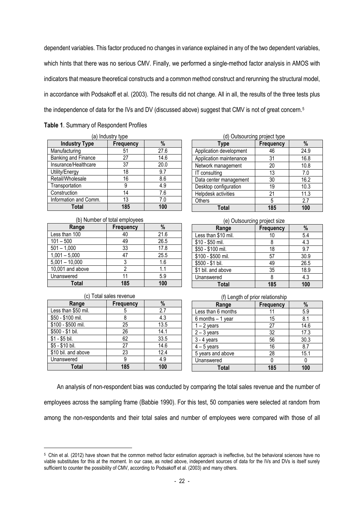dependent variables. This factor produced no changes in variance explained in any of the two dependent variables, which hints that there was no serious CMV. Finally, we performed a single-method factor analysis in AMOS with indicators that measure theoretical constructs and a common method construct and rerunning the structural model, in accordance with Podsakoff et al. (2003). The results did not change. All in all, the results of the three tests plus the independence of data for the IVs and DV (discussed above) suggest that CMV is not of great concern.<sup>[5](#page-21-0)</sup>

|  | Table 1. Summary of Respondent Profiles |
|--|-----------------------------------------|
|--|-----------------------------------------|

| (a) Industry type     |                  |      |  |  |  |  |  |
|-----------------------|------------------|------|--|--|--|--|--|
| <b>Industry Type</b>  | <b>Frequency</b> | %    |  |  |  |  |  |
| Manufacturing         | 51               | 27.6 |  |  |  |  |  |
| Banking and Finance   | 27               | 14.6 |  |  |  |  |  |
| Insurance/Healthcare  | 37               | 20.0 |  |  |  |  |  |
| Utility/Energy        | 18               | 9.7  |  |  |  |  |  |
| Retail/Wholesale      | 16               | 8.6  |  |  |  |  |  |
| Transportation        | 9                | 4.9  |  |  |  |  |  |
| Construction          | 14               | 7.6  |  |  |  |  |  |
| Information and Comm. | 13               | 7.0  |  |  |  |  |  |
| Total                 | 185              | 100  |  |  |  |  |  |

| (b) Number of total employees |                  |      |  |  |  |  |
|-------------------------------|------------------|------|--|--|--|--|
| Range                         | <b>Frequency</b> | %    |  |  |  |  |
| Less than 100                 | 40               | 21.6 |  |  |  |  |
| $101 - 500$                   | 49               | 26.5 |  |  |  |  |
| $501 - 1,000$                 | 33               | 17.8 |  |  |  |  |
| $1,001 - 5,000$               | 47               | 25.5 |  |  |  |  |
| $5,001 - 10,000$              | 3                | 1.6  |  |  |  |  |
| 10,001 and above              | 2                | 1.1  |  |  |  |  |
| Unanswered                    | 11               | 5.9  |  |  |  |  |
| Total                         | 185              | 100  |  |  |  |  |

| (c) Total sales revenue |                  |      |  |  |  |  |
|-------------------------|------------------|------|--|--|--|--|
| Range                   | <b>Frequency</b> | $\%$ |  |  |  |  |
| Less than \$50 mil.     | 5                | 2.7  |  |  |  |  |
| \$50 - \$100 mil.       | 8                | 4.3  |  |  |  |  |
| \$100 - \$500 mil.      | 25               | 13.5 |  |  |  |  |
| \$500 - \$1 bil.        | 26               | 14.1 |  |  |  |  |
| $$1 - $5$ bil.          | 62               | 33.5 |  |  |  |  |
| \$5 - \$10 bil.         | 27               | 14.6 |  |  |  |  |
| \$10 bil. and above     | 23               | 12.4 |  |  |  |  |
| Unanswered              | 9                | 4.9  |  |  |  |  |
| Total                   | 185              | 100  |  |  |  |  |

|  | (d) Outsourcing project type |  |
|--|------------------------------|--|
|  |                              |  |

| Type                    | <b>Frequency</b> | %    |
|-------------------------|------------------|------|
| Application development | 46               | 24.9 |
| Application maintenance | 31               | 16.8 |
| Network management      | 20               | 10.8 |
| IT consulting           | 13               | 7.0  |
| Data center management  | 30               | 16.2 |
| Desktop configuration   | 19               | 10.3 |
| Helpdesk activities     | 21               | 11.3 |
| Others                  | 5                | 2.7  |
|                         | 185              | 100  |

#### (e) Outsourcing project size **Range Frequency %** Less than \$10 mil. 10 10 5.4 \$10 - \$50 mil. 1 8 4.3 \$50 - \$100 mil. 18 | 9.7 \$100 - \$500 mil. 67 30.9 \$500 - \$1 bil. 49 26.5 \$1 bil. and above 35 18.9<br>Unanswered 8 4.3 Unanswered 8 4.3<br> **100 Total 185 100**

| (f) Length of prior relationship |                  |      |  |  |  |  |  |
|----------------------------------|------------------|------|--|--|--|--|--|
| Range                            | <b>Frequency</b> | %    |  |  |  |  |  |
| Less than 6 months               | 11               | 5.9  |  |  |  |  |  |
| 6 months $-1$ year               | 15               | 8.1  |  |  |  |  |  |
| $1 - 2$ years                    | 27               | 14.6 |  |  |  |  |  |
| $2 - 3$ years                    | 32               | 17.3 |  |  |  |  |  |
| $3 - 4$ years                    | 56               | 30.3 |  |  |  |  |  |
| $4 - 5$ years                    | 16               | 8.7  |  |  |  |  |  |
| 5 years and above                | 28               | 15.1 |  |  |  |  |  |
| Unanswered                       |                  |      |  |  |  |  |  |
| Total                            | 185              | 100  |  |  |  |  |  |

An analysis of non-respondent bias was conducted by comparing the total sales revenue and the number of employees across the sampling frame (Babbie 1990). For this test, 50 companies were selected at random from among the non-respondents and their total sales and number of employees were compared with those of all

<span id="page-21-0"></span><sup>5</sup> Chin et al. (2012) have shown that the common method factor estimation approach is ineffective, but the behavioral sciences have no viable substitutes for this at the moment. In our case, as noted above, independent sources of data for the IVs and DVs is itself surely sufficient to counter the possibility of CMV, according to Podsakoff et al. (2003) and many others.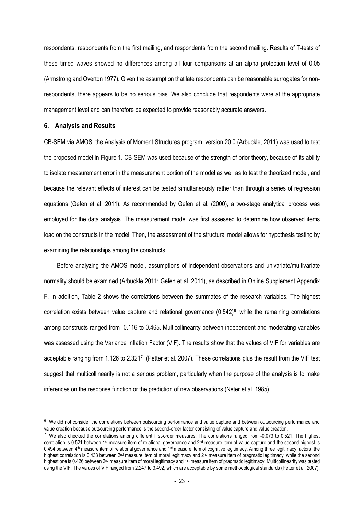respondents, respondents from the first mailing, and respondents from the second mailing. Results of T-tests of these timed waves showed no differences among all four comparisons at an alpha protection level of 0.05 (Armstrong and Overton 1977). Given the assumption that late respondents can be reasonable surrogates for nonrespondents, there appears to be no serious bias. We also conclude that respondents were at the appropriate management level and can therefore be expected to provide reasonably accurate answers.

### **6. Analysis and Results**

CB-SEM via AMOS, the Analysis of Moment Structures program, version 20.0 (Arbuckle, 2011) was used to test the proposed model in Figure 1. CB-SEM was used because of the strength of prior theory, because of its ability to isolate measurement error in the measurement portion of the model as well as to test the theorized model, and because the relevant effects of interest can be tested simultaneously rather than through a series of regression equations (Gefen et al. 2011). As recommended by Gefen et al. (2000), a two-stage analytical process was employed for the data analysis. The measurement model was first assessed to determine how observed items load on the constructs in the model. Then, the assessment of the structural model allows for hypothesis testing by examining the relationships among the constructs.

Before analyzing the AMOS model, assumptions of independent observations and univariate/multivariate normality should be examined (Arbuckle 2011; Gefen et al. 2011), as described in Online Supplement Appendix F. In addition, Table 2 shows the correlations between the summates of the research variables. The highest correlation exists between value capture and relational governance  $(0.542)^6$  $(0.542)^6$  while the remaining correlations among constructs ranged from -0.116 to 0.465. Multicollinearity between independent and moderating variables was assessed using the Variance Inflation Factor (VIF). The results show that the values of VIF for variables are acceptable ranging from 1.126 to 2.32[17](#page-22-1) (Petter et al. 2007). These correlations plus the result from the VIF test suggest that multicollinearity is not a serious problem, particularly when the purpose of the analysis is to make inferences on the response function or the prediction of new observations (Neter et al. 1985).

<span id="page-22-0"></span><sup>6</sup> We did not consider the correlations between outsourcing performance and value capture and between outsourcing performance and value creation because outsourcing performance is the second-order factor consisting of value capture and value creation.

<span id="page-22-1"></span> $7$  We also checked the correlations among different first-order measures. The correlations ranged from -0.073 to 0.521. The highest correlation is 0.521 between 1<sup>st</sup> measure item of relational governance and  $2<sup>nd</sup>$  measure item of value capture and the second highest is 0.494 between 4<sup>th</sup> measure item of relational governance and 1<sup>st</sup> measure item of cognitive legitimacy. Among three legitimacy factors, the highest correlation is 0.433 between 2<sup>nd</sup> measure item of moral legitimacy and 2<sup>nd</sup> measure item of pragmatic legitimacy, while the second highest one is 0.426 between 2<sup>nd</sup> measure item of moral legitimacy and 1<sup>st</sup> measure item of pragmatic legitimacy. Multicollinearity was tested using the VIF. The values of VIF ranged from 2.247 to 3.492, which are acceptable by some methodological standards (Petter et al. 2007).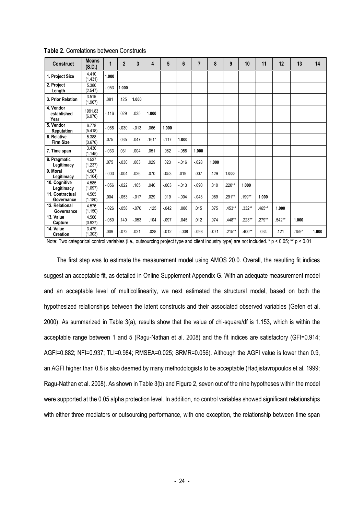| <b>Construct</b>                 | <b>Means</b><br>(S.D.) | 1        | $\overline{2}$ | 3        | 4       | 5        | 6        | $\overline{7}$ | 8       | 9        | 10     | 11     | 12     | 13      | 14    |
|----------------------------------|------------------------|----------|----------------|----------|---------|----------|----------|----------------|---------|----------|--------|--------|--------|---------|-------|
| 1. Project Size                  | 4.410<br>(1.431)       | 1.000    |                |          |         |          |          |                |         |          |        |        |        |         |       |
| 2. Project<br>Length             | 5.380<br>(2.547)       | $-0.053$ | 1.000          |          |         |          |          |                |         |          |        |        |        |         |       |
| 3. Prior Relation                | 3.515<br>(1.967)       | .081     | .125           | 1.000    |         |          |          |                |         |          |        |        |        |         |       |
| 4. Vendor<br>established<br>Year | 1991.83<br>(6.976)     | $-116$   | .029           | .035     | 1.000   |          |          |                |         |          |        |        |        |         |       |
| 5. Vendor<br><b>Reputation</b>   | 6.778<br>(5.418)       | $-068$   | $-0.30$        | $-0.013$ | .066    | 1.000    |          |                |         |          |        |        |        |         |       |
| 6. Relative<br><b>Firm Size</b>  | 5.388<br>(3.676)       | .075     | .035           | .047     | $.161*$ | $-.117$  | 1.000    |                |         |          |        |        |        |         |       |
| 7. Time span                     | 3.430<br>(1.145)       | $-0.33$  | .031           | .004     | .051    | .062     | $-058$   | 1.000          |         |          |        |        |        |         |       |
| 8. Pragmatic<br>Legitimacy       | 4.537<br>(1.237)       | .075     | $-0.030$       | .003     | .029    | .023     | $-0.016$ | $-0.028$       | 1.000   |          |        |        |        |         |       |
| 9. Moral<br>Legitimacy           | 4.567<br>(1.104)       | $-0.003$ | $-0.04$        | .026     | .070    | $-0.053$ | .019     | .007           | .129    | 1.000    |        |        |        |         |       |
| 10. Cognitive<br>Legitimacy      | 4.585<br>(1.097)       | $-0.056$ | $-022$         | .105     | .040    | $-.003$  | $-013$   | $-0.090$       | .010    | $.220**$ | 1.000  |        |        |         |       |
| 11. Contractual<br>Governance    | 4.565<br>(1.180)       | .004     | $-0.053$       | $-0.017$ | .029    | .019     | $-0.04$  | $-043$         | .089    | .291**   | .199** | 1.000  |        |         |       |
| 12. Relational<br>Governance     | 4.576<br>(1.150)       | $-026$   | $-0.058$       | $-0.070$ | .125    | $-0.042$ | .086     | .015           | .075    | .453**   | .332** | .465** | 1.000  |         |       |
| 13. Value<br>Capture             | 4.566<br>(0.927)       | $-060$   | .140           | $-0.053$ | .104    | $-.097$  | .045     | .012           | .074    | .448**   | .223** | .279** | .542** | 1.000   |       |
| 14. Value<br><b>Creation</b>     | 3.479<br>(1.303)       | .009     | $-0.072$       | .021     | .028    | $-0.012$ | $-.008$  | $-.098$        | $-.071$ | $.215**$ | .400** | .034   | .121   | $.159*$ | 1.000 |

**Table 2.** Correlations between Constructs

Note: Two categorical control variables (i.e., outsourcing project type and client industry type) are not included. \* p < 0.05; \*\* p < 0.01

The first step was to estimate the measurement model using AMOS 20.0. Overall, the resulting fit indices suggest an acceptable fit, as detailed in Online Supplement Appendix G. With an adequate measurement model and an acceptable level of multicollinearity, we next estimated the structural model, based on both the hypothesized relationships between the latent constructs and their associated observed variables (Gefen et al. 2000). As summarized in Table 3(a), results show that the value of chi-square/df is 1.153, which is within the acceptable range between 1 and 5 (Ragu-Nathan et al. 2008) and the fit indices are satisfactory (GFI=0.914; AGFI=0.882; NFI=0.937; TLI=0.984; RMSEA=0.025; SRMR=0.056). Although the AGFI value is lower than 0.9, an AGFI higher than 0.8 is also deemed by many methodologists to be acceptable (Hadjistavropoulos et al. 1999; Ragu-Nathan et al. 2008). As shown in Table 3(b) and Figure 2, seven out of the nine hypotheses within the model were supported at the 0.05 alpha protection level. In addition, no control variables showed significant relationships with either three mediators or outsourcing performance, with one exception, the relationship between time span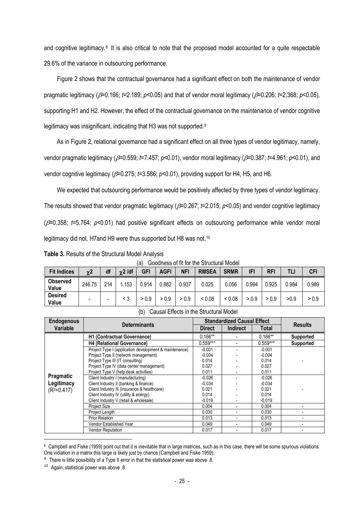and cognitive legitimacy.[8](#page-24-0) It is also critical to note that the proposed model accounted for a quite respectable 29.6% of the variance in outsourcing performance.

Figure 2 shows that the contractual governance had a significant effect on both the maintenance of vendor pragmatic legitimacy (β=0.166; *t*=2.189; *p*<0.05) and that of vendor moral legitimacy (β=0.206; *t*=2.368; *p*<0.05), supporting H1 and H2. However, the effect of the contractual governance on the maintenance of vendor cognitive legitimacy was insignificant, indicating that H3 was not supported.<sup>[9](#page-24-1)</sup>

As in Figure 2, relational governance had a significant effect on all three types of vendor legitimacy, namely, vendor pragmatic legitimacy (β=0.559; *t*=7.457; *p*<0.01), vendor moral legitimacy (β=0.387; *t*=4.961; *p*<0.01), and vendor cognitive legitimacy (β=0.275; *t*=3.586; *p*<0.01), providing support for H4, H5, and H6.

We expected that outsourcing performance would be positively affected by three types of vendor legitimacy. The results showed that vendor pragmatic legitimacy (β=0.267; *t*=2.015; *p*<0.05) and vendor cognitive legitimacy (β=0.358; *t*=5.764; *p*<0.01) had positive significant effects on outsourcing performance while vendor moral legitimacy did not. H7and H9 were thus supported but H8 was not.<sup>[10](#page-24-2)</sup>

**Table 3.** Results of the Structural Model Analysis

| (a) Goodness of fit for the Structural Model |
|----------------------------------------------|
|----------------------------------------------|

| <b>Fit Indices</b>       | $\chi$ 2 | df  | $\gamma$ 2 /df | <b>GFI</b> | <b>AGFI</b> | NFI   | <b>RMSEA</b> | <b>SRMR</b> | IFI   | <b>RFI</b> | TLI   | <b>CFI</b> |
|--------------------------|----------|-----|----------------|------------|-------------|-------|--------------|-------------|-------|------------|-------|------------|
| <b>Observed</b><br>Value | 246.75   | 214 | .153           | 0.914      | 0.882       | 0.937 | 0.025        | 0.056       | 0.994 | 0.925      | 0.984 | 0.989      |
| <b>Desired</b><br>Value  |          | -   | < 3            | > 0.9      | > 0.9       | > 0.9 | < 0.08       | < 0.08      | > 0.9 | > 0.9      | >0.9  | > 0.9      |

| <b>Endogenous</b> | <b>Determinants</b>                                    |               | <b>Standardized Causal Effect</b> | <b>Results</b> |                  |
|-------------------|--------------------------------------------------------|---------------|-----------------------------------|----------------|------------------|
| Variable          |                                                        | <b>Direct</b> | <b>Indirect</b>                   | Total          |                  |
|                   | <b>H1 (Contractual Governance)</b>                     | $0.166**$     |                                   | $0.166**$      | <b>Supported</b> |
|                   | <b>H4 (Relational Governance)</b>                      | $0.559***$    |                                   | $0.559***$     | <b>Supported</b> |
|                   | Project Type I (application development & maintenance) | $-0.001$      |                                   | $-0.001$       |                  |
|                   | Project Type II (network management)                   | $-0.004$      |                                   | $-0.004$       |                  |
|                   | Project Type III (IT consulting)                       | 0.014         |                                   | 0.014          |                  |
|                   | Project Type IV (data center management)               | 0.027         |                                   | 0.027          |                  |
|                   | Project Type V (help desk activities)                  | 0.011         |                                   | 0.011          |                  |
| Pragmatic         | Client Industry I (manufacturing)                      | $-0.026$      |                                   | $-0.026$       |                  |
| Legitimacy        | Client Industry II (banking & finance)                 | $-0.034$      |                                   | $-0.034$       |                  |
| $(R2=0.417)$      | Client Industry III (insurance & healthcare)           | 0.021         |                                   | 0.021          |                  |
|                   | Client Industry IV (utility & energy)                  | 0.014         |                                   | 0.014          |                  |
|                   | Client Industry V (retail & wholesale)                 | $-0.019$      |                                   | $-0.019$       |                  |
|                   | Project Size                                           | 0.004         |                                   | 0.004          |                  |
|                   | Project Length                                         | 0.030         |                                   | 0.030          |                  |
|                   | <b>Prior Relation</b>                                  | 0.013         |                                   | 0.013          |                  |
|                   | Vendor Established Year                                | 0.049         |                                   | 0.049          |                  |
|                   | Vendor Reputation                                      | 0.017         |                                   | 0.017          |                  |

(b) Causal Effects in the Structural Model

<span id="page-24-0"></span><sup>&</sup>lt;sup>8</sup> Campbell and Fiske (1959) point out that it is inevitable that in large matrices, such as in this case, there will be some spurious violations. One violation in a matrix this large is likely just by chance (Campbell and Fiske 1959).

<span id="page-24-1"></span><sup>&</sup>lt;sup>9</sup> There is little possibility of a Type II error in that the statistical power was above .8.

<span id="page-24-2"></span><sup>10</sup> Again, statistical power was above .8.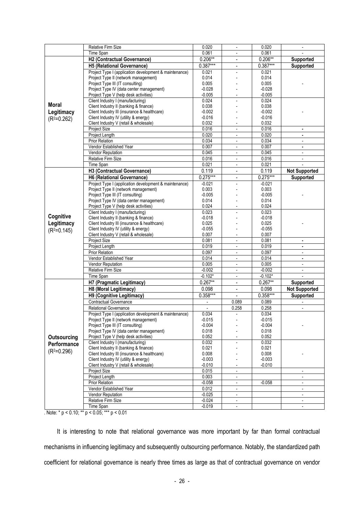|              | Relative Firm Size                                                                    | 0.020                    | $\overline{\phantom{a}}$ | 0.020             | $\overline{\phantom{a}}$    |
|--------------|---------------------------------------------------------------------------------------|--------------------------|--------------------------|-------------------|-----------------------------|
|              | Time Span                                                                             | 0.061                    | $\blacksquare$           | 0.061             |                             |
|              | H2 (Contractual Governance)                                                           | $0.206**$                | $\overline{\phantom{a}}$ | $0.206**$         | <b>Supported</b>            |
|              | H5 (Relational Governance)                                                            | $0.387***$               | $\blacksquare$           | $0.387***$        | Supported                   |
|              | Project Type I (application development & maintenance)                                | 0.021                    |                          | 0.021             |                             |
|              | Project Type II (network management)                                                  | 0.014                    |                          | 0.014             |                             |
|              | Project Type III (IT consulting)                                                      | 0.005                    |                          | 0.005             |                             |
|              | Project Type IV (data center management)                                              | $-0.028$                 |                          | $-0.028$          |                             |
|              | Project Type V (help desk activities)                                                 | $-0.005$                 |                          | $-0.005$          |                             |
|              | Client Industry I (manufacturing)                                                     | 0.024                    |                          | 0.024             |                             |
| <b>Moral</b> | Client Industry II (banking & finance)                                                | 0.038                    |                          | 0.038             |                             |
| Legitimacy   | Client Industry III (insurance & healthcare)                                          | $-0.002$                 |                          | $-0.002$          |                             |
| $(R2=0.262)$ | Client Industry IV (utility & energy)                                                 | $-0.016$                 |                          | $-0.016$          |                             |
|              | Client Industry V (retail & wholesale)                                                | 0.032                    |                          | 0.032             |                             |
|              | <b>Project Size</b>                                                                   | 0.016                    | $\overline{\phantom{a}}$ | 0.016             | $\blacksquare$              |
|              | Project Length                                                                        | 0.020                    |                          | 0.020             | $\blacksquare$              |
|              | <b>Prior Relation</b>                                                                 | 0.034                    | $\blacksquare$           | 0.034             | $\mathcal{L}_{\mathcal{A}}$ |
|              | Vendor Established Year                                                               | 0.007                    | $\overline{\phantom{a}}$ | 0.007             | $\bullet$                   |
|              | Vendor Reputation                                                                     | 0.045                    |                          | 0.045             |                             |
|              | Relative Firm Size                                                                    | 0.016                    | $\overline{\phantom{a}}$ | 0.016             | $\overline{\phantom{a}}$    |
|              | Time Span                                                                             | 0.021                    | $\overline{\phantom{a}}$ | 0.021             |                             |
|              | H3 (Contractual Governance)                                                           | 0.119                    | $\overline{a}$           | 0.119             | <b>Not Supported</b>        |
|              | H6 (Relational Governance)                                                            | $0.275***$               | $\blacksquare$           | $0.275***$        | Supported                   |
|              | Project Type I (application development & maintenance)                                | $-0.021$                 | $\overline{a}$           | -0.021            |                             |
|              | Project Type II (network management)                                                  | 0.003                    |                          | 0.003             |                             |
|              | Project Type III (IT consulting)                                                      | $-0.005$                 |                          | $-0.005$          |                             |
|              | Project Type IV (data center management)                                              | 0.014                    |                          | 0.014             |                             |
|              | Project Type V (help desk activities)                                                 | 0.024                    |                          | 0.024             |                             |
|              | Client Industry I (manufacturing)                                                     | 0.023                    |                          | 0.023             |                             |
| Cognitive    | Client Industry II (banking & finance)                                                | $-0.018$                 |                          | $-0.018$          |                             |
| Legitimacy   | Client Industry III (insurance & healthcare)                                          | 0.025                    |                          | 0.025             |                             |
| $(R2=0.145)$ | Client Industry IV (utility & energy)                                                 | $-0.055$                 |                          | $-0.055$          |                             |
|              | Client Industry V (retail & wholesale)                                                | 0.007                    |                          | 0.007             |                             |
|              | Project Size                                                                          | 0.081                    | $\blacksquare$           | 0.081             | $\blacksquare$              |
|              | Project Length                                                                        | 0.019                    | $\overline{\phantom{a}}$ | 0.019             | $\blacksquare$              |
|              | Prior Relation                                                                        | 0.097                    |                          | 0.097             |                             |
|              | Vendor Established Year                                                               | 0.014                    | $\overline{\phantom{a}}$ | 0.014             | $\blacksquare$              |
|              | Vendor Reputation                                                                     | 0.005                    | $\overline{\phantom{a}}$ | 0.005             | $\blacksquare$              |
|              | Relative Firm Size                                                                    | $-0.002$                 |                          | $-0.002$          | $\blacksquare$              |
|              | Time Span                                                                             | $-0.102*$                | $\overline{\phantom{a}}$ | $-0.102*$         |                             |
|              | H7 (Pragmatic Legitimacy)                                                             | $0.267**$                | $\blacksquare$           | $0.267**$         | Supported                   |
|              | H8 (Moral Legitimacy)                                                                 | 0.098                    | $\blacksquare$           | 0.098             | <b>Not Supported</b>        |
|              | H9 (Cognitive Legitimacy)                                                             | $0.358***$               | $\overline{a}$           | $0.358***$        | Supported                   |
|              | <b>Contractual Governance</b>                                                         | $\blacksquare$           | 0.089                    | 0.089             |                             |
|              | <b>Relational Governance</b>                                                          | $\overline{\phantom{a}}$ | 0.258                    | 0.258             | $\blacksquare$              |
|              | Project Type I (application development & maintenance)                                | 0.034                    |                          | 0.034             |                             |
|              | Project Type II (network management)                                                  | -0.015                   |                          | $-0.015$          |                             |
|              | Project Type III (IT consulting)                                                      | $-0.004$                 |                          | -0.004            |                             |
|              | Project Type IV (data center management)                                              | 0.018                    |                          | 0.018             |                             |
| Outsourcing  | Project Type V (help desk activities)                                                 | 0.052                    |                          | 0.052             |                             |
| Performance  | Client Industry I (manufacturing)                                                     | 0.032                    | $\overline{a}$           | 0.032             |                             |
| $(R2=0.296)$ | Client Industry II (banking & finance)                                                | 0.021                    |                          | 0.021             |                             |
|              | Client Industry III (insurance & healthcare)<br>Client Industry IV (utility & energy) | 0.008<br>$-0.003$        |                          | 0.008<br>$-0.003$ |                             |
|              | Client Industry V (retail & wholesale)                                                | $-0.010$                 |                          | $-0.010$          |                             |
|              | Project Size                                                                          | 0.015                    | $\overline{\phantom{a}}$ |                   | $\overline{\phantom{a}}$    |
|              | Project Length                                                                        | 0.003                    |                          |                   |                             |
|              | <b>Prior Relation</b>                                                                 | $-0.058$                 | $\overline{\phantom{a}}$ | $-0.058$          | $\blacksquare$              |
|              | Vendor Established Year                                                               | 0.012                    | $\overline{\phantom{a}}$ |                   | $\overline{\phantom{a}}$    |
|              | Vendor Reputation                                                                     | $-0.025$                 | $\overline{\phantom{a}}$ |                   | $\blacksquare$              |
|              | Relative Firm Size                                                                    | $-0.024$                 | $\overline{\phantom{a}}$ |                   | $\blacksquare$              |
|              |                                                                                       | $-0.019$                 |                          |                   |                             |

. Note: \*  $p < 0.10$ ; \*\*  $p < 0.05$ ; \*\*\*  $p < 0.01$ 

It is interesting to note that relational governance was more important by far than formal contractual mechanisms in influencing legitimacy and subsequently outsourcing performance. Notably, the standardized path coefficient for relational governance is nearly three times as large as that of contractual governance on vendor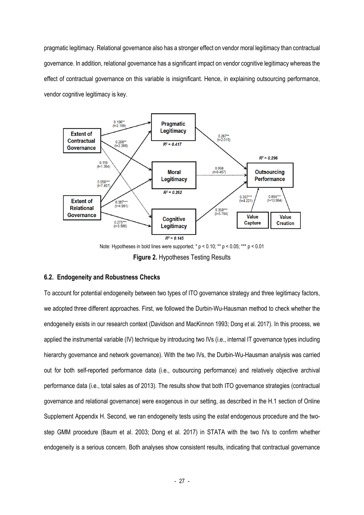pragmatic legitimacy. Relational governance also has a stronger effect on vendor moral legitimacy than contractual governance. In addition, relational governance has a significant impact on vendor cognitive legitimacy whereas the effect of contractual governance on this variable is insignificant. Hence, in explaining outsourcing performance, vendor cognitive legitimacy is key.



**Figure 2.** Hypotheses Testing Results

# **6.2. Endogeneity and Robustness Checks**

To account for potential endogeneity between two types of ITO governance strategy and three legitimacy factors, we adopted three different approaches. First, we followed the Durbin-Wu-Hausman method to check whether the endogeneity exists in our research context (Davidson and MacKinnon 1993; Dong et al. 2017). In this process, we applied the instrumental variable (IV) technique by introducing two IVs (i.e., internal IT governance types including hierarchy governance and network governance). With the two IVs, the Durbin-Wu-Hausman analysis was carried out for both self-reported performance data (i.e., outsourcing performance) and relatively objective archival performance data (i.e., total sales as of 2013). The results show that both ITO governance strategies (contractual governance and relational governance) were exogenous in our setting, as described in the H.1 section of Online Supplement Appendix H. Second, we ran endogeneity tests using the *estat* endogenous procedure and the twostep GMM procedure (Baum et al. 2003; Dong et al. 2017) in STATA with the two IVs to confirm whether endogeneity is a serious concern. Both analyses show consistent results, indicating that contractual governance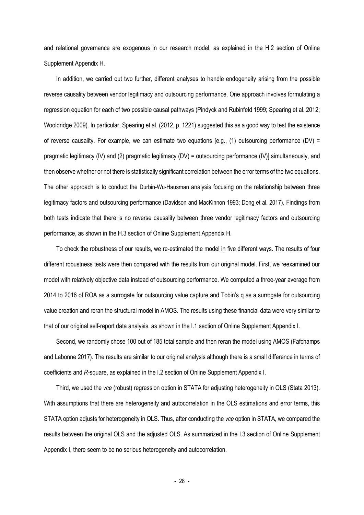and relational governance are exogenous in our research model, as explained in the H.2 section of Online Supplement Appendix H.

In addition, we carried out two further, different analyses to handle endogeneity arising from the possible reverse causality between vendor legitimacy and outsourcing performance. One approach involves formulating a regression equation for each of two possible causal pathways (Pindyck and Rubinfeld 1999; Spearing et al. 2012; Wooldridge 2009). In particular, Spearing et al. (2012, p. 1221) suggested this as a good way to test the existence of reverse causality. For example, we can estimate two equations [e.g., (1) outsourcing performance (DV) = pragmatic legitimacy (IV) and (2) pragmatic legitimacy (DV) = outsourcing performance (IV)] simultaneously, and then observe whether or not there is statistically significant correlation between the error terms of the two equations. The other approach is to conduct the Durbin-Wu-Hausman analysis focusing on the relationship between three legitimacy factors and outsourcing performance (Davidson and MacKinnon 1993; Dong et al. 2017). Findings from both tests indicate that there is no reverse causality between three vendor legitimacy factors and outsourcing performance, as shown in the H.3 section of Online Supplement Appendix H.

To check the robustness of our results, we re-estimated the model in five different ways. The results of four different robustness tests were then compared with the results from our original model. First, we reexamined our model with relatively objective data instead of outsourcing performance. We computed a three-year average from 2014 to 2016 of ROA as a surrogate for outsourcing value capture and Tobin's q as a surrogate for outsourcing value creation and reran the structural model in AMOS. The results using these financial data were very similar to that of our original self-report data analysis, as shown in the I.1 section of Online Supplement Appendix I.

Second, we randomly chose 100 out of 185 total sample and then reran the model using AMOS (Fafchamps and Labonne 2017). The results are similar to our original analysis although there is a small difference in terms of coefficients and *R-*square, as explained in the I.2 section of Online Supplement Appendix I.

Third, we used the *vce* (robust) regression option in STATA for adjusting heterogeneity in OLS (Stata 2013). With assumptions that there are heterogeneity and autocorrelation in the OLS estimations and error terms, this STATA option adjusts for heterogeneity in OLS. Thus, after conducting the *vce* option in STATA, we compared the results between the original OLS and the adjusted OLS. As summarized in the I.3 section of Online Supplement Appendix I, there seem to be no serious heterogeneity and autocorrelation.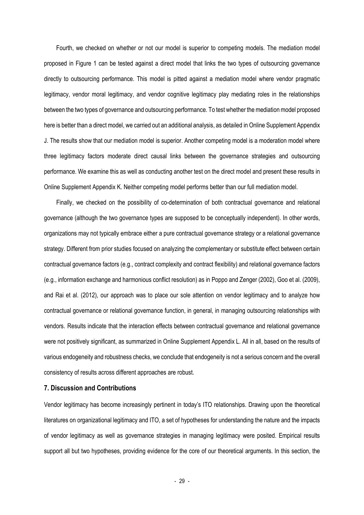Fourth, we checked on whether or not our model is superior to competing models. The mediation model proposed in Figure 1 can be tested against a direct model that links the two types of outsourcing governance directly to outsourcing performance. This model is pitted against a mediation model where vendor pragmatic legitimacy, vendor moral legitimacy, and vendor cognitive legitimacy play mediating roles in the relationships between the two types of governance and outsourcing performance. To test whether the mediation model proposed here is better than a direct model, we carried out an additional analysis, as detailed in Online Supplement Appendix J. The results show that our mediation model is superior. Another competing model is a moderation model where three legitimacy factors moderate direct causal links between the governance strategies and outsourcing performance. We examine this as well as conducting another test on the direct model and present these results in Online Supplement Appendix K. Neither competing model performs better than our full mediation model.

Finally, we checked on the possibility of co-determination of both contractual governance and relational governance (although the two governance types are supposed to be conceptually independent). In other words, organizations may not typically embrace either a pure contractual governance strategy or a relational governance strategy. Different from prior studies focused on analyzing the complementary or substitute effect between certain contractual governance factors (e.g., contract complexity and contract flexibility) and relational governance factors (e.g., information exchange and harmonious conflict resolution) as in Poppo and Zenger (2002), Goo et al. (2009), and Rai et al. (2012), our approach was to place our sole attention on vendor legitimacy and to analyze how contractual governance or relational governance function, in general, in managing outsourcing relationships with vendors. Results indicate that the interaction effects between contractual governance and relational governance were not positively significant, as summarized in Online Supplement Appendix L. All in all, based on the results of various endogeneity and robustness checks, we conclude that endogeneity is not a serious concern and the overall consistency of results across different approaches are robust.

### **7. Discussion and Contributions**

Vendor legitimacy has become increasingly pertinent in today's ITO relationships. Drawing upon the theoretical literatures on organizational legitimacy and ITO, a set of hypotheses for understanding the nature and the impacts of vendor legitimacy as well as governance strategies in managing legitimacy were posited. Empirical results support all but two hypotheses, providing evidence for the core of our theoretical arguments. In this section, the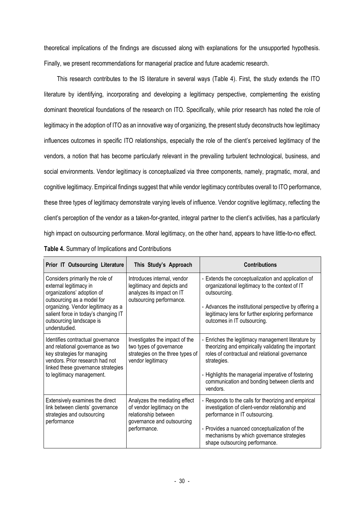theoretical implications of the findings are discussed along with explanations for the unsupported hypothesis. Finally, we present recommendations for managerial practice and future academic research.

This research contributes to the IS literature in several ways (Table 4). First, the study extends the ITO literature by identifying, incorporating and developing a legitimacy perspective, complementing the existing dominant theoretical foundations of the research on ITO. Specifically, while prior research has noted the role of legitimacy in the adoption of ITO as an innovative way of organizing, the present study deconstructs how legitimacy influences outcomes in specific ITO relationships, especially the role of the client's perceived legitimacy of the vendors, a notion that has become particularly relevant in the prevailing turbulent technological, business, and social environments. Vendor legitimacy is conceptualized via three components, namely, pragmatic, moral, and cognitive legitimacy. Empirical findings suggest that while vendor legitimacy contributes overall to ITO performance, these three types of legitimacy demonstrate varying levels of influence. Vendor cognitive legitimacy, reflecting the client's perception of the vendor as a taken-for-granted, integral partner to the client's activities, has a particularly high impact on outsourcing performance. Moral legitimacy, on the other hand, appears to have little-to-no effect.

| Prior IT Outsourcing Literature                                                                                                                                                                                                                  | This Study's Approach                                                                                                              | <b>Contributions</b>                                                                                                                                                                                                                                                                           |  |
|--------------------------------------------------------------------------------------------------------------------------------------------------------------------------------------------------------------------------------------------------|------------------------------------------------------------------------------------------------------------------------------------|------------------------------------------------------------------------------------------------------------------------------------------------------------------------------------------------------------------------------------------------------------------------------------------------|--|
| Considers primarily the role of<br>external legitimacy in<br>organizations' adoption of<br>outsourcing as a model for<br>organizing. Vendor legitimacy as a<br>salient force in today's changing IT<br>outsourcing landscape is<br>understudied. | Introduces internal, vendor<br>legitimacy and depicts and<br>analyzes its impact on IT<br>outsourcing performance.                 | - Extends the conceptualization and application of<br>organizational legitimacy to the context of IT<br>outsourcing.<br>- Advances the institutional perspective by offering a<br>legitimacy lens for further exploring performance<br>outcomes in IT outsourcing.                             |  |
| Identifies contractual governance<br>and relational governance as two<br>key strategies for managing<br>vendors. Prior research had not<br>linked these governance strategies<br>to legitimacy management.                                       | Investigates the impact of the<br>two types of governance<br>strategies on the three types of<br>vendor legitimacy                 | - Enriches the legitimacy management literature by<br>theorizing and empirically validating the important<br>roles of contractual and relational governance<br>strategies.<br>- Highlights the managerial imperative of fostering<br>communication and bonding between clients and<br>vendors. |  |
| Extensively examines the direct<br>link between clients' governance<br>strategies and outsourcing<br>performance                                                                                                                                 | Analyzes the mediating effect<br>of vendor legitimacy on the<br>relationship between<br>governance and outsourcing<br>performance. | - Responds to the calls for theorizing and empirical<br>investigation of client-vendor relationship and<br>performance in IT outsourcing.<br>- Provides a nuanced conceptualization of the<br>mechanisms by which governance strategies<br>shape outsourcing performance.                      |  |

|  | Table 4. Summary of Implications and Contributions |  |
|--|----------------------------------------------------|--|
|  |                                                    |  |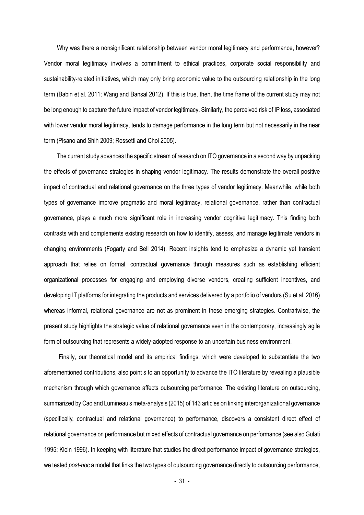Why was there a nonsignificant relationship between vendor moral legitimacy and performance, however? Vendor moral legitimacy involves a commitment to ethical practices, corporate social responsibility and sustainability-related initiatives, which may only bring economic value to the outsourcing relationship in the long term (Babin et al. 2011; Wang and Bansal 2012). If this is true, then, the time frame of the current study may not be long enough to capture the future impact of vendor legitimacy. Similarly, the perceived risk of IP loss, associated with lower vendor moral legitimacy, tends to damage performance in the long term but not necessarily in the near term (Pisano and Shih 2009; Rossetti and Choi 2005).

The current study advances the specific stream of research on ITO governance in a second way by unpacking the effects of governance strategies in shaping vendor legitimacy. The results demonstrate the overall positive impact of contractual and relational governance on the three types of vendor legitimacy. Meanwhile, while both types of governance improve pragmatic and moral legitimacy, relational governance, rather than contractual governance, plays a much more significant role in increasing vendor cognitive legitimacy. This finding both contrasts with and complements existing research on how to identify, assess, and manage legitimate vendors in changing environments (Fogarty and Bell 2014). Recent insights tend to emphasize a dynamic yet transient approach that relies on formal, contractual governance through measures such as establishing efficient organizational processes for engaging and employing diverse vendors, creating sufficient incentives, and developing IT platforms for integrating the products and services delivered by a portfolio of vendors (Su et al. 2016) whereas informal, relational governance are not as prominent in these emerging strategies. Contrariwise, the present study highlights the strategic value of relational governance even in the contemporary, increasingly agile form of outsourcing that represents a widely-adopted response to an uncertain business environment.

Finally, our theoretical model and its empirical findings, which were developed to substantiate the two aforementioned contributions, also point s to an opportunity to advance the ITO literature by revealing a plausible mechanism through which governance affects outsourcing performance. The existing literature on outsourcing, summarized by Cao and Lumineau's meta-analysis (2015) of 143 articles on linking interorganizational governance (specifically, contractual and relational governance) to performance, discovers a consistent direct effect of relational governance on performance but mixed effects of contractual governance on performance (see also Gulati 1995; Klein 1996). In keeping with literature that studies the direct performance impact of governance strategies, we tested *post-hoc* a model that links the two types of outsourcing governance directly to outsourcing performance,

- 31 -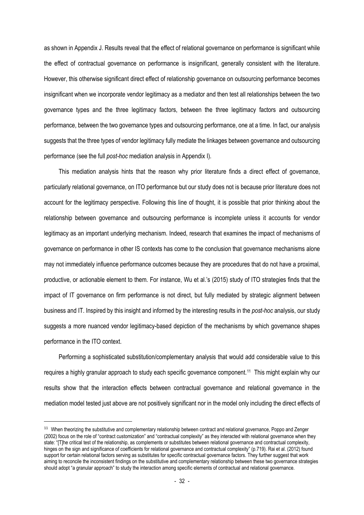as shown in Appendix J. Results reveal that the effect of relational governance on performance is significant while the effect of contractual governance on performance is insignificant, generally consistent with the literature. However, this otherwise significant direct effect of relationship governance on outsourcing performance becomes insignificant when we incorporate vendor legitimacy as a mediator and then test all relationships between the two governance types and the three legitimacy factors, between the three legitimacy factors and outsourcing performance, between the two governance types and outsourcing performance, one at a time. In fact, our analysis suggests that the three types of vendor legitimacy fully mediate the linkages between governance and outsourcing performance (see the full *post-hoc* mediation analysis in Appendix I).

This mediation analysis hints that the reason why prior literature finds a direct effect of governance, particularly relational governance, on ITO performance but our study does not is because prior literature does not account for the legitimacy perspective. Following this line of thought, it is possible that prior thinking about the relationship between governance and outsourcing performance is incomplete unless it accounts for vendor legitimacy as an important underlying mechanism. Indeed, research that examines the impact of mechanisms of governance on performance in other IS contexts has come to the conclusion that governance mechanisms alone may not immediately influence performance outcomes because they are procedures that do not have a proximal, productive, or actionable element to them. For instance, Wu et al.'s (2015) study of ITO strategies finds that the impact of IT governance on firm performance is not direct, but fully mediated by strategic alignment between business and IT. Inspired by this insight and informed by the interesting results in the *post-hoc* analysis, our study suggests a more nuanced vendor legitimacy-based depiction of the mechanisms by which governance shapes performance in the ITO context.

Performing a sophisticated substitution/complementary analysis that would add considerable value to this requires a highly granular approach to study each specific governance component. [11](#page-31-0) This might explain why our results show that the interaction effects between contractual governance and relational governance in the mediation model tested just above are not positively significant nor in the model only including the direct effects of

<span id="page-31-0"></span><sup>&</sup>lt;sup>11</sup> When theorizing the substitutive and complementary relationship between contract and relational governance, Poppo and Zenger (2002) focus on the role of "contract customization" and "contractual complexity" as they interacted with relational governance when they state: "[T]he critical test of the relationship, as complements or substitutes between relational governance and contractual complexity, hinges on the sign and significance of coefficients for relational governance and contractual complexity" (p.719). Rai et al. (2012) found support for certain relational factors serving as substitutes for specific contractual governance factors. They further suggest that work aiming to reconcile the inconsistent findings on the substitutive and complementary relationship between these two governance strategies should adopt "a granular approach" to study the interaction among specific elements of contractual and relational governance.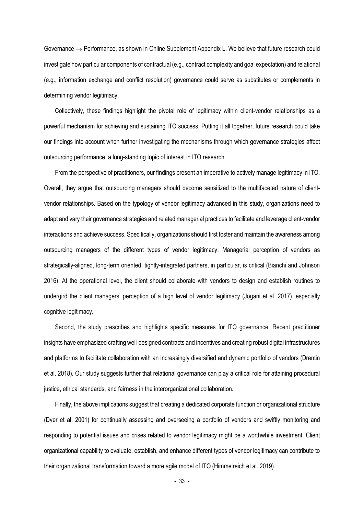Governance  $\rightarrow$  Performance, as shown in Online Supplement Appendix L. We believe that future research could investigate how particular components of contractual (e.g., contract complexity and goal expectation) and relational (e.g., information exchange and conflict resolution) governance could serve as substitutes or complements in determining vendor legitimacy.

Collectively, these findings highlight the pivotal role of legitimacy within client-vendor relationships as a powerful mechanism for achieving and sustaining ITO success. Putting it all together, future research could take our findings into account when further investigating the mechanisms through which governance strategies affect outsourcing performance, a long-standing topic of interest in ITO research.

From the perspective of practitioners, our findings present an imperative to actively manage legitimacy in ITO. Overall, they argue that outsourcing managers should become sensitized to the multifaceted nature of clientvendor relationships. Based on the typology of vendor legitimacy advanced in this study, organizations need to adapt and vary their governance strategies and related managerial practices to facilitate and leverage client-vendor interactions and achieve success. Specifically, organizations should first foster and maintain the awareness among outsourcing managers of the different types of vendor legitimacy. Managerial perception of vendors as strategically-aligned, long-term oriented, tightly-integrated partners, in particular, is critical (Bianchi and Johnson 2016). At the operational level, the client should collaborate with vendors to design and establish routines to undergird the client managers' perception of a high level of vendor legitimacy (Jogani et al. 2017), especially cognitive legitimacy.

Second, the study prescribes and highlights specific measures for ITO governance. Recent practitioner insights have emphasized crafting well-designed contracts and incentives and creating robust digital infrastructures and platforms to facilitate collaboration with an increasingly diversified and dynamic portfolio of vendors (Drentin et al. 2018). Our study suggests further that relational governance can play a critical role for attaining procedural justice, ethical standards, and fairness in the interorganizational collaboration.

Finally, the above implications suggest that creating a dedicated corporate function or organizational structure (Dyer et al. 2001) for continually assessing and overseeing a portfolio of vendors and swiftly monitoring and responding to potential issues and crises related to vendor legitimacy might be a worthwhile investment. Client organizational capability to evaluate, establish, and enhance different types of vendor legitimacy can contribute to their organizational transformation toward a more agile model of ITO (Himmelreich et al. 2019).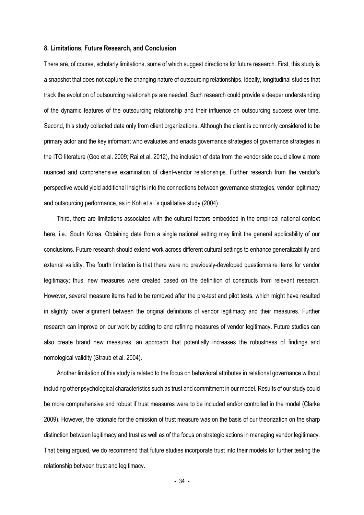#### **8. Limitations, Future Research, and Conclusion**

There are, of course, scholarly limitations, some of which suggest directions for future research. First, this study is a snapshot that does not capture the changing nature of outsourcing relationships. Ideally, longitudinal studies that track the evolution of outsourcing relationships are needed. Such research could provide a deeper understanding of the dynamic features of the outsourcing relationship and their influence on outsourcing success over time. Second, this study collected data only from client organizations. Although the client is commonly considered to be primary actor and the key informant who evaluates and enacts governance strategies of governance strategies in the ITO literature (Goo et al. 2009; Rai et al. 2012), the inclusion of data from the vendor side could allow a more nuanced and comprehensive examination of client-vendor relationships. Further research from the vendor's perspective would yield additional insights into the connections between governance strategies, vendor legitimacy and outsourcing performance, as in Koh et al.'s qualitative study (2004).

Third, there are limitations associated with the cultural factors embedded in the empirical national context here, i.e., South Korea. Obtaining data from a single national setting may limit the general applicability of our conclusions. Future research should extend work across different cultural settings to enhance generalizability and external validity. The fourth limitation is that there were no previously-developed questionnaire items for vendor legitimacy; thus, new measures were created based on the definition of constructs from relevant research. However, several measure items had to be removed after the pre-test and pilot tests, which might have resulted in slightly lower alignment between the original definitions of vendor legitimacy and their measures. Further research can improve on our work by adding to and refining measures of vendor legitimacy. Future studies can also create brand new measures, an approach that potentially increases the robustness of findings and nomological validity (Straub et al. 2004).

Another limitation of this study is related to the focus on behavioral attributes in relational governance without including other psychological characteristics such as trust and commitment in our model. Results of our study could be more comprehensive and robust if trust measures were to be included and/or controlled in the model (Clarke 2009). However, the rationale for the omission of trust measure was on the basis of our theorization on the sharp distinction between legitimacy and trust as well as of the focus on strategic actions in managing vendor legitimacy. That being argued, we do recommend that future studies incorporate trust into their models for further testing the relationship between trust and legitimacy.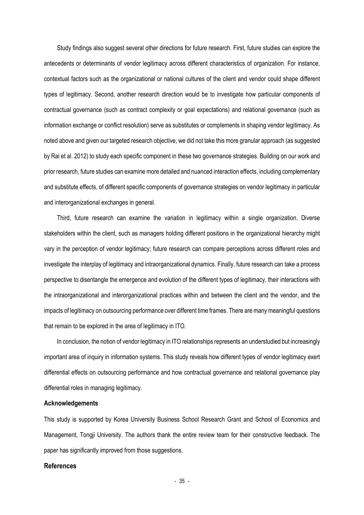Study findings also suggest several other directions for future research. First, future studies can explore the antecedents or determinants of vendor legitimacy across different characteristics of organization. For instance, contextual factors such as the organizational or national cultures of the client and vendor could shape different types of legitimacy. Second, another research direction would be to investigate how particular components of contractual governance (such as contract complexity or goal expectations) and relational governance (such as information exchange or conflict resolution) serve as substitutes or complements in shaping vendor legitimacy. As noted above and given our targeted research objective, we did not take this more granular approach (as suggested by Rai et al. 2012) to study each specific component in these two governance strategies. Building on our work and prior research, future studies can examine more detailed and nuanced interaction effects, including complementary and substitute effects, of different specific components of governance strategies on vendor legitimacy in particular and interorganizational exchanges in general.

Third, future research can examine the variation in legitimacy within a single organization. Diverse stakeholders within the client, such as managers holding different positions in the organizational hierarchy might vary in the perception of vendor legitimacy; future research can compare perceptions across different roles and investigate the interplay of legitimacy and intraorganizational dynamics. Finally, future research can take a process perspective to disentangle the emergence and evolution of the different types of legitimacy, their interactions with the intraorganizational and interorganizational practices within and between the client and the vendor, and the impacts of legitimacy on outsourcing performance over different time frames. There are many meaningful questions that remain to be explored in the area of legitimacy in ITO.

In conclusion, the notion of vendor legitimacy in ITO relationships represents an understudied but increasingly important area of inquiry in information systems. This study reveals how different types of vendor legitimacy exert differential effects on outsourcing performance and how contractual governance and relational governance play differential roles in managing legitimacy.

### **Acknowledgements**

This study is supported by Korea University Business School Research Grant and School of Economics and Management, Tongji University. The authors thank the entire review team for their constructive feedback. The paper has significantly improved from those suggestions.

## **References**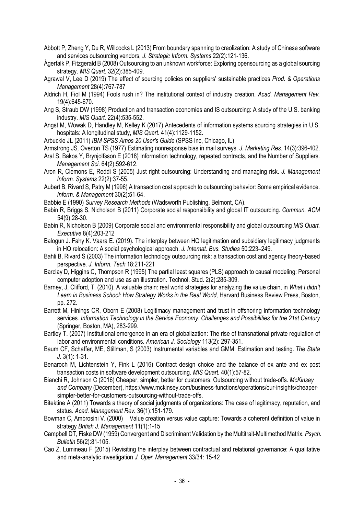- Abbott P, Zheng Y, Du R, Willcocks L (2013) From boundary spanning to creolization: A study of Chinese software and services outsourcing vendors, *J. Strategic Inform. Systems* 22(2):121-136.
- Ågerfalk P, Fitzgerald B (2008) Outsourcing to an unknown workforce: Exploring opensourcing as a global sourcing strategy. *MIS Quart.* 32(2):385-409.
- Agrawal V, Lee D (2019) The effect of sourcing policies on suppliers' sustainable practices *Prod. & Operations Management* 28(4):767-787
- Aldrich H, Fiol M (1994) Fools rush in? The institutional context of industry creation. *Acad. Management Rev.* 19(4):645-670.
- Ang S, Straub DW (1998) Production and transaction economies and IS outsourcing: A study of the U.S. banking industry. *MIS Quart.* 22(4):535-552.
- Angst M, Wowak D, Handley M, Kelley K (2017) Antecedents of information systems sourcing strategies in U.S. hospitals: A longitudinal study, *MIS Quart*. 41(4):1129-1152.
- Arbuckle JL (2011) *IBM SPSS Amos 20 User's Guide* (SPSS Inc, Chicago, IL)
- Armstrong JS*,* Overton TS (1977) Estimating nonresponse bias in mail surveys. *J. Marketing Res.* 14(3):396-402.
- Aral S, Bakos Y, Brynjolfsson E (2018) Information technology, repeated contracts, and the Number of Suppliers. *Management Sci*. 64(2):592-612.
- Aron R, Clemons E, Reddi S (2005) Just right outsourcing: Understanding and managing risk. *J. Management Inform. Systems* 22(2):37-55.
- Aubert B, Rivard S, Patry M (1996) A transaction cost approach to outsourcing behavior: Some empirical evidence. *Inform. & Management* 30(2):51-64.
- Babbie E (1990) *Survey Research Methods* (Wadsworth Publishing, Belmont, CA).
- Babin R, Briggs S, Nicholson B (2011) Corporate social responsibility and global IT outsourcing. *Commun. ACM* 54(9):28-30.
- Babin R, Nicholson B (2009) Corporate social and environmental responsibility and global outsourcing *MIS Quart. Executive* 8(4):203-212
- Balogun J. Fahy K. Vaara E. (2019). The interplay between HQ legitimation and subsidiary legitimacy judgments in HQ relocation: A social psychological approach. *J. Internat. Bus. Studies* 50:223–249.
- Bahli B, Rivard S (2003) The information technology outsourcing risk: a transaction cost and agency theory-based perspective. *J. Inform. Tech* 18:211-221
- Barclay D, Higgins C, Thompson R (1995) The partial least squares (PLS) approach to causal modeling: Personal computer adoption and use as an illustration. Technol. Stud. 2(2):285-309.
- Barney, J, Clifford, T. (2010). A valuable chain: real world strategies for analyzing the value chain, in *What I didn't Learn in Business School: How Strategy Works in the Real World,* Harvard Business Review Press, Boston, pp. 272.
- Barrett M, Hinings CR, Oborn E (2008) Legitimacy management and trust in offshoring information technology services. *Information Technology in the Service Economy: Challenges and Possibilities for the 21st Century* (Springer, Boston, MA), 283-299.
- Bartley T. (2007) Institutional emergence in an era of globalization: The rise of transnational private regulation of labor and environmental conditions. *American J. Sociology* 113(2): 297-351.
- Baum CF, Schaffer, ME, Stillman, S (2003) Instrumental variables and GMM: Estimation and testing. *The Stata J.* 3(1): 1-31.
- Benaroch M, Lichtenstein Y, Fink L (2016) Contract design choice and the balance of ex ante and ex post transaction costs in software development outsourcing. *MIS Quart.* 40(1):57-82.
- Bianchi R, Johnson C (2016) Cheaper, simpler, better for customers: Outsourcing without trade-offs. *McKinsey and Company* (December), https://www.mckinsey.com/business-functions/operations/our-insights/cheapersimpler-better-for-customers-outsourcing-without-trade-offs.
- Bitektine A (2011) Towards a theory of social judgments of organizations: The case of legitimacy, reputation, and status. *Acad. Management Rev.* 36(1):151-179.
- Bowman C, Ambrosini V. (2000) Value creation versus value capture: Towards a coherent definition of value in strategy *British J. Management* 11(1):1-15
- Campbell DT, Fiske DW (1959) Convergent and Discriminant Validation by the Multitrait-Multimethod Matrix. *Psych. Bulletin* 56(2):81-105.
- Cao Z, Lumineau F (2015) Revisiting the interplay between contractual and relational governance: A qualitative and meta-analytic investigation *J. Oper. Management* 33/34: 15-42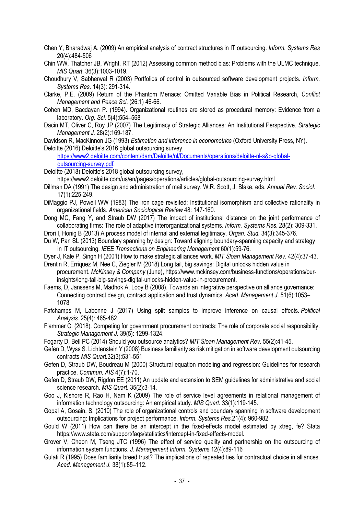- Chen Y, Bharadwaj A. (2009) An empirical analysis of contract structures in IT outsourcing. *Inform. Systems Res* 20(4):484-506
- Chin WW, Thatcher JB, Wright, RT (2012) Assessing common method bias: Problems with the ULMC technique. *MIS Quart*. 36(3):1003-1019.
- Choudhury V, Sabherwal R (2003) Portfolios of control in outsourced software development projects. *Inform. Systems Res.* 14(3): 291-314.
- Clarke, P.E. (2009) Return of the Phantom Menace: Omitted Variable Bias in Political Research, *Conflict Management and Peace Sci*. (26:1) 46-66.
- Cohen MD, Bacdayan P. (1994). Organizational routines are stored as procedural memory: Evidence from a laboratory. *Org. Sci.* 5(4):554–568
- Dacin MT, Oliver C, Roy JP (2007) The Legitimacy of Strategic Alliances: An Institutional Perspective. *Strategic Management J.* 28(2):169-187.
- Davidson R, MacKinnon JG (1993) *Estimation and inference in econometrics* (Oxford University Press, NY). Deloitte (2016) Deloitte's 2016 global outsourcing survey,
	- [https://www2.deloitte.com/content/dam/Deloitte/nl/Documents/operations/deloitte-nl-s&o-global](https://www2.deloitte.com/content/dam/Deloitte/nl/Documents/operations/deloitte-nl-s&o-global-outsourcing-survey.pdf)[outsourcing-survey.pdf.](https://www2.deloitte.com/content/dam/Deloitte/nl/Documents/operations/deloitte-nl-s&o-global-outsourcing-survey.pdf)
- Deloitte (2018) Deloitte's 2018 global outsourcing survey,
	- https://www2.deloitte.com/us/en/pages/operations/articles/global-outsourcing-survey.html
- Dillman DA (1991) The design and administration of mail survey. W.R. Scott, J. Blake, eds. *Annual Rev. Sociol.* 17(1):225-249.
- DiMaggio PJ, Powell WW (1983) The iron cage revisited: Institutional isomorphism and collective rationality in organizational fields. *American Sociological Review* 48: 147-160.
- Dong MC, Fang Y, and Straub DW (2017) The impact of institutional distance on the joint performance of collaborating firms: The role of adaptive interorganizational systems. *Inform. Systems Res.* 28(2): 309-331.
- Drori I, Honig B (2013) A process model of internal and external legitimacy. *Organ. Stud.* 34(3):345-376.
- Du W, Pan SL (2013) Boundary spanning by design: Toward aligning boundary-spanning capacity and strategy in IT outsourcing. *IEEE Transactions on Engineering Management* 60(1):59-76.
- Dyer J, Kale P, Singh H (2001) How to make strategic alliances work. *MIT Sloan Management Rev.* 42(4):37-43. Drentin R, Erriquez M, Nee C, Ziegler M (2018) Long tail, big savings: Digital unlocks hidden value in
- procurement. *McKinsey & Company* (June), https://www.mckinsey.com/business-functions/operations/ourinsights/long-tail-big-savings-digital-unlocks-hidden-value-in-procurement.
- Faems, D, Janssens M, Madhok A, Looy B (2008). Towards an integrative perspective on alliance governance: Connecting contract design, contract application and trust dynamics. *Acad. Management J*. 51(6):1053– 1078
- Fafchamps M, Labonne J (2017) Using split samples to improve inference on causal effects. *Political Analysis*. 25(4): 465-482.
- Flammer C. (2018). Competing for government procurement contracts: The role of corporate social responsibility. *Strategic Management J.* 39(5): 1299-1324.
- Fogarty D, Bell PC (2014) Should you outsource analytics? *MIT Sloan Management Rev.* 55(2):41-45.
- Gefen D, Wyss S. Lichtenstein Y (2008) Business familiarity as risk mitigation in software development outsourcing contracts *MIS Quart.*32(3):531-551
- Gefen D, Straub DW, Boudreau M (2000) Structural equation modeling and regression: Guidelines for research practice. *Commun. AIS* 4(7):1-70.
- Gefen D, Straub DW, Rigdon EE (2011) An update and extension to SEM guidelines for administrative and social science research. *MIS Quart.* 35(2):3-14.
- Goo J, Kishore R, Rao H, Nam K (2009) The role of service level agreements in relational management of information technology outsourcing: An empirical study. *MIS Quart.* 33(1):119-145.
- Gopal A, Gosain, S. (2010) The role of organizational controls and boundary spanning in software development outsourcing: Implications for project performance. *Inform. Systems Res.*21(4): 960-982
- Gould W (2011) How can there be an intercept in the fixed-effects model estimated by xtreg, fe? Stata [https://www.stata.com/support/faqs/statistics/intercept-in-fixed-effects-model.](https://www.stata.com/support/faqs/statistics/intercept-in-fixed-effects-model)
- Grover V, Cheon M, Tseng JTC (1996) The effect of service quality and partnership on the outsourcing of information system functions. *J. Management Inform. Systems* 12(4):89-116
- Gulati R (1995) Does familiarity breed trust? The implications of repeated ties for contractual choice in alliances. *Acad. Management J.* 38(1):85–112.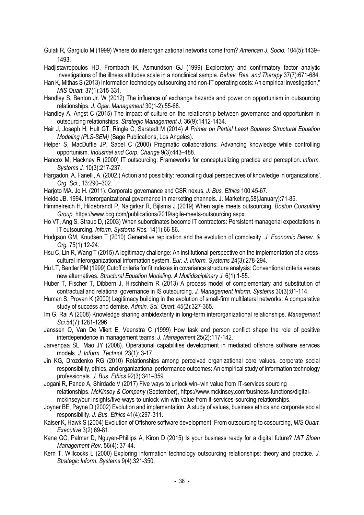Gulati R, Gargiulo M (1999) Where do interorganizational networks come from? *American J. Socio.* 104(5):1439– 1493.

Hadjistavropoulos HD, Frombach IK, Asmundson GJ (1999) Exploratory and confirmatory factor analytic investigations of the illness attitudes scale in a nonclinical sample. *Behav. Res. and Therapy* 37(7):671-684.

- Han K, Mithas S (2013) Information technology outsourcing and non-IT operating costs: An empirical investigation," *MIS Quart.* 37(1):315-331.
- Handley S, Benton Jr. W (2012) The influence of exchange hazards and power on opportunism in outsourcing relationships. *J. Oper. Management* 30(1-2):55-68.
- Handley A, Angst C (2015) The impact of culture on the relationship between governance and opportunism in outsourcing relationships. *Strategic Management J.* 36(9):1412-1434.
- Hair J, Joseph H, Hult GT, Ringle C, Sarstedt M (2014) *A Primer on Partial Least Squares Structural Equation Modeling (PLS-SEM)* (Sage Publications, Los Angeles).
- Helper S, MacDuffie JP, Sabel C (2000) Pragmatic collaborations: Advancing knowledge while controlling opportunism. *Industrial and Corp. Change* 9(3):443–488.
- Hancox M, Hackney R (2000) IT outsourcing: Frameworks for conceptualizing practice and perception. *Inform. Systems J.* 10(3):217-237.
- Hargadon, A. Fanelli, A. (2002.) Action and possibility: reconciling dual perspectives of knowledge in organizations'. *Org. Sci.*, 13:290–302.
- Harjoto MA. Jo H. (2011). Corporate governance and CSR nexus. *J. Bus. Ethics* 100:45-67.
- Heide JB. 1994. Interorganizational governance in marketing channels. J. Marketing,58(January):71-85.
- Himmelreich H, Hildebrandt P, Nalgirkar R, Bijlsma J (2019) When agile meets outsourcing. *Boston Consulting Group,* https://www.bcg.com/publications/2019/agile-meets-outsourcing.aspx.
- Ho VT, Ang S, Straub D, (2003) When subordinates become IT contractors: Persistent managerial expectations in IT outsourcing. *Inform. Systems Res.* 14(1):66-86.
- Hodgson GM, Knudsen T (2010) Generative replication and the evolution of complexity, *J. Economic Behav. & Org.* 75(1):12-24.
- Hsu C, Lin R, Wang T (2015) A legitimacy challenge: An institutional perspective on the implementation of a crosscultural interorganizational information system. *Eur. J. Inform. Systems* 24(3):278-294.
- Hu LT, Bentler PM (1999) Cutoff criteria for fit indexes in covariance structure analysis: Conventional criteria versus new alternatives. *Structural Equation Modeling: A Multidisciplinary J.* 6(1):1-55.
- Huber T, Fischer T, Dibbern J, Hirschheim R (2013) A process model of complementary and substitution of contractual and relational governance in IS outsourcing. *J. Management Inform. Systems* 30(3):81-114.
- Human S, Provan K (2000) Legitimacy building in the evolution of small-firm multilateral networks: A comparative study of success and demise. *Admin. Sci. Quart.* 45(2):327-365.
- Im G, Rai A (2008) Knowledge sharing ambidexterity in long-term interorganizational relationships. *Management Sci.*54(7):1281-1296
- Janssen O, Van De Vliert E, Veenstra C (1999) How task and person conflict shape the role of positive interdependence in management teams, *J. Management* 25(2):117-142.
- Jarvenpaa SL, Mao JY (2008). Operational capabilities development in mediated offshore software services models. *J. Inform. Technol.* 23(1): 3-17.
- Jin KG, Drozdenko RG (2010) Relationships among perceived organizational core values, corporate social responsibility, ethics, and organizational performance outcomes: An empirical study of information technology professionals. *J. Bus. Ethics* 92(3):341–359.
- Jogani R, Pande A, Shirdade V (2017) Five ways to unlock win–win value from IT-services sourcing relationships. *McKinsey & Company* (September), https://www.mckinsey.com/business-functions/digitalmckinsey/our-insights/five-ways-to-unlock-win-win-value-from-it-services-sourcing-relationships.
- Joyner BE, Payne D (2002) Evolution and implementation: A study of values, business ethics and corporate social responsibility. *J. Bus. Ethics* 41(4):297-311.
- Kaiser K, Hawk S (2004) Evolution of Offshore software development: From outsourcing to cosourcing, *MIS Quart. Executive* 3(2):69-81.
- Kane GC, Palmer D, Nguyen-Phillips A, Kiron D (2015) Is your business ready for a digital future? *MIT Sloan Management Rev*. 56(4): 37-44.
- Kern T, Willcocks L (2000) Exploring information technology outsourcing relationships: theory and practice. *J. Strategic Inform. Systems* 9(4):321-350.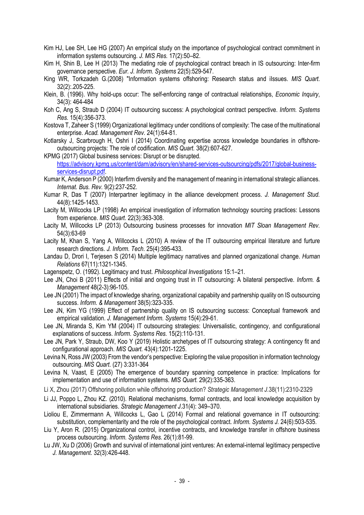- Kim HJ, Lee SH, Lee HG (2007) An empirical study on the importance of psychological contract commitment in information systems outsourcing. *J. MIS Res.* 17(2):50–82.
- Kim H, Shin B, Lee H (2013) The mediating role of psychological contract breach in IS outsourcing: Inter-firm governance perspective. *Eur. J. Inform. Systems* 22(5):529-547.
- King WR, Torkzadeh G.(2008) "Information systems offshoring: Research status and iIssues. *MIS Quart*. 32(2):.205-225.
- Klein, B. (1996). Why hold-ups occur: The self-enforcing range of contractual relationships, *Economic Inquiry*, 34(3): 464-484
- Koh C, Ang S, Straub D (2004) IT outsourcing success: A psychological contract perspective. *Inform. Systems Res.* 15(4):356-373.
- Kostova T, Zaheer S (1999) Organizational legitimacy under conditions of complexity: The case of the multinational enterprise. *Acad. Management Rev.* 24(1):64-81.
- Kotlarsky J, Scarbrough H, Oshri I (2014) Coordinating expertise across knowledge boundaries in offshoreoutsourcing projects: The role of codification. *MIS Quart.* 38(2):607-627.
- KPMG (2017) Global business services: Disrupt or be disrupted. [https://advisory.kpmg.us/content/dam/advisory/en/shared-services-outsourcing/pdfs/2017/global-business](https://advisory.kpmg.us/content/dam/advisory/en/shared-services-outsourcing/pdfs/2017/global-business-services-disrupt.pdf)services-disrupt.pdf
- Kumar K, Anderson P (2000) Interfirm diversity and the management of meaning in international strategic alliances. *Internat. Bus. Rev.* 9(2):237-252.
- Kumar R, Das T (2007) Interpartner legitimacy in the alliance development process. *J. Management Stud.*  44(8):1425-1453.
- Lacity M, Willcocks LP (1998) An empirical investigation of information technology sourcing practices: Lessons from experience. *MIS Quart*. 22(3):363-308.
- Lacity M, Willcocks LP (2013) Outsourcing business processes for innovation *MIT Sloan Management Rev.* 54(3):63-69
- Lacity M, Khan S, Yang A, Willcocks L (2010) A review of the IT outsourcing empirical literature and furture research directions. *J. Inform. Tech*. 25(4):395-433.
- Landau D, Drori I, Terjesen S (2014) Multiple legitimacy narratives and planned organizational change. *Human Relations* 67(11):1321-1345.
- Lagenspetz, O. (1992). Legitimacy and trust. *Philosophical Investigations* 15:1–21.
- Lee JN, Choi B (2011) Effects of initial and ongoing trust in IT outsourcing: A bilateral perspective. *Inform. & Management* 48(2-3):96-105.
- Lee JN (2001) The impact of knowledge sharing, organizational capabiity and partnership quality on IS outsourcing success. *Inform. & Management* 38(5):323-335.
- Lee JN, Kim YG (1999) Effect of partnership quality on IS outsourcing success: Conceptual framework and empirical validation. *J. Management Inform. Systems* 15(4):29-61.
- Lee JN, Miranda S, Kim YM (2004) IT outsourcing strategies: Universalistic, contingency, and configurational explanations of success. *Inform. Systems Res.* 15(2):110-131.
- Lee JN, Park Y, Straub, DW, Koo Y (2019) Holistic archetypes of IT outsourcing strategy: A contingency fit and configurational approach. *MIS Quart.* 43(4):1201-1225.
- Levina N, Ross JW (2003) From the vendor's perspective: Exploring the value proposition in information technology outsourcing. *MIS Quart*. (27) 3:331-364
- Levina N, Vaast, E (2005) The emergence of boundary spanning competence in practice: Implications for implementation and use of information systems. *MIS Quart.* 29(2):335-363.
- Li X, Zhou (2017) Offshoring pollution while offshoring production? *Strategic Management J.*38(11):2310-2329
- Li JJ, Poppo L, Zhou KZ. (2010). Relational mechanisms, formal contracts, and local knowledge acquisition by international subsidiaries. *Strategic Management J*.31(4): 349–370.
- Lioliou E, Zimmermann A, Willcocks L, Gao L (2014) Formal and relational governance in IT outsourcing: substitution, complementarity and the role of the psychological contract. *Inform. Systems J.* 24(6):503-535.
- Liu Y, Aron R. (2015) Organizational control, incentive contracts, and knowledge transfer in offshore business process outsourcing. *Inform. Systems Res.* 26(1):81-99.
- Lu JW, Xu D (2006) Growth and survival of international joint ventures: An external-internal legitimacy perspective *J. Management*. 32(3):426-448.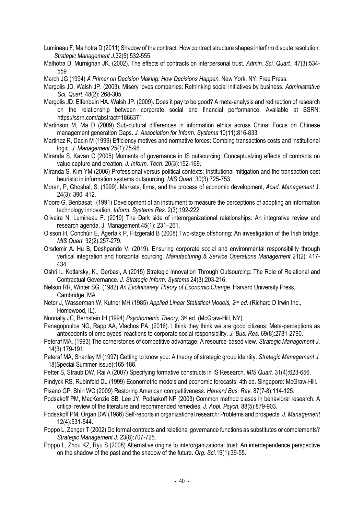Lumineau F, Malhotra D (2011) Shadow of the contract: How contract structure shapes interfirm dispute resolution. *Strategic Management J.*32(5):532-555.

Malhotra D, Murnighan JK. (2002). The effects of contracts on interpersonal trust. *Admin. Sci. Quart.*, 47(3):534- 559

March JG (1994) *A Primer on Decision Making: How Decisions Happen.* New York, NY: Free Press.

Margolis JD. Walsh JP. (2003). Misery loves companies: Rethinking social initiatives by business. *Administrative Sci. Quart*. 48(2): 268-305

Margolis JD. Elfenbein HA. Walsh JP. (2009). Does it pay to be good? A meta-analysis and redirection of research on the relationship between corporate social and financial performance. Available at SSRN: https://ssrn.com/abstract=1866371.

Martinson M, Ma D (2009) Sub-cultural differences in information ethics across China: Focus on Chinese management generation Gaps. *J. Association for Inform. Systems* 10(11):816-833.

Martinez R, Dacin M (1999) Efficiency motives and normative forces: Combing transactions costs and institutional logic. *J. Management* 25(1):75-96.

Miranda S, Kavan C (2005) Moments of governance in IS outsourcing: Conceptualzing effects of contracts on value capture and creation. *J. Inform. Tech*. 20(3):152-169.

Miranda S, Kim YM (2006) Professional versus political contexts: Institutional mitigation and the transaction cost heuristic in information systems outsourcing. *MIS Quart.* 30(3):725-753.

- Moran, P, Ghoshal, S. (1999). Markets, firms, and the process of economic development, *Acad*. *Management* J. 24(3): 390–412.
- Moore G, Benbasat I (1991) Development of an instrument to measure the perceptions of adopting an information technology innovation. *Inform. Systems Res.* 2(3):192-222.
- Oliveira N. Lumineau F. (2019) The Dark side of interorganizational relationships: An integrative review and research agenda. J. Management 45(1): 231–261.
- Olsson H, Conchúir E, Ågerfalk P, Fitzgerald B (2008) Two-stage offshoring: An investigation of the Irish bridge. *MIS Quart.* 32(2):257-279.
- Orsdemir A. Hu B, Deshpande V. (2019). Ensuring corporate social and environmental responsibility through vertical integration and horizontal sourcing. *Manufacturing & Service Operations Management* 21(2): 417- 434.

Oshri I., Kotlarsky, K., Gerbasi, A (2015) Strategic Innovation Through Outsourcing: The Role of Relational and Contractual Governance. *J. Strategic Inform. Systems* 24(3):203-216.

- Nelson RR, Winter SG. (1982) *An Evolutionary Theory of Economic Change*. Harvard University Press, Cambridge, MA.
- Neter J, Wasserman W, Kutner MH (1985) *Applied Linear Statistical Models, 2nd ed.* (Richard D Irwin Inc., Homewood, IL).
- Nunnally JC, Bernstein IH (1994) *Psychometric Theory,* 3rd ed. (McGraw-Hill, NY).

Panagopoulos NG, Rapp AA, Vlachos PA. (2016). I think they think we are good citizens: Meta-perceptions as antecedents of employees' reactions to corporate social responsibility. *J. Bus. Res.* 69(8):2781-2790.

Peteraf MA. (1993) The cornerstones of competitive advantage: A resource-based view. *Strategic Management J*. 14(3):179-191.

- Peteraf MA, Shanley M (1997) Getting to know you: A theory of strategic group identity. *Strategic Management J.* 18(Special Summer Issue):165-186.
- Petter S, Straub DW, Rai A (2007) Specifying formative constructs in IS Research. *MIS Quart.* 31(4):623-656.
- Pindyck RS, Rubinfeld DL (1999) Econometric models and economic forecasts. 4th ed. Singapore: McGraw-Hill.
- Pisano GP, Shih WC (2009) Restoring American competitiveness. *Harvard Bus. Rev.* 87(7-8):114-125.
- Podsakoff PM, MacKenzie SB, Lee JY, Podsakoff NP (2003) Common method biases in behavioral research: A critical review of the literature and recommended remedies. *J. Appl. Psych.* 88(5):879-903.
- Podsakoff PM, Organ DW (1986) Self-reports in organizational research: Problems and prospects. *J. Management* 12(4):531-544.
- Poppo L, Zenger T (2002) Do formal contracts and relational governance functions as substitutes or complements? *Strategic Management J.* 23(8):707-725.
- Poppo L, Zhou KZ, Ryu S (2008) Alternative origins to interorganizational trust: An interdependence perspective on the shadow of the past and the shadow of the future. *Org. Sci.*19(1):39-55.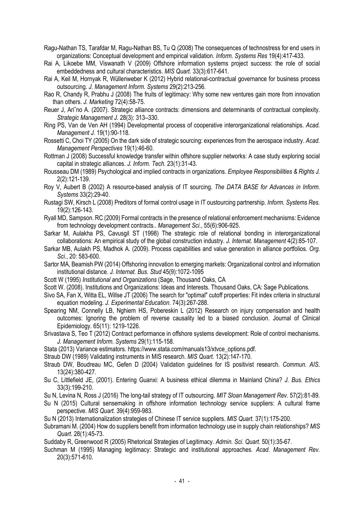- Ragu-Nathan TS, Tarafdar M, Ragu-Nathan BS, Tu Q (2008) The consequences of technostress for end users in organizations: Conceptual development and empirical validation. *Inform. Systems Res* 19(4):417-433.
- Rai A, Likoebe MM, Viswanath V (2009) Offshore information systems project success: the role of social embeddedness and cultural characteristics. *MIS Quart.* 33(3):617-641.
- Rai A, Keil M, Hornyak R, Wüllenweber K (2012) Hybrid relational-contractual governance for business process outsourcing. *J. Management Inform. Systems* 29(2):213-256.
- Rao R, Chandy R, Prabhu J (2008) The fruits of legitimacy: Why some new ventures gain more from innovation than others. *J. Marketing* 72(4):58-75.
- Reuer J, Ari˜no A. (2007). Strategic alliance contracts: dimensions and determinants of contractual complexity. *Strategic Management J.* 28(3): 313–330.
- Ring PS, Van de Ven AH (1994) Developmental process of cooperative interorganizational relationships. *Acad. Management J.* 19(1):90-118.
- Rossetti C, Choi TY (2005) On the dark side of strategic sourcing: experiences from the aerospace industry. *Acad. Management Perspectives* 19(1):46-60.
- Rottman J (2008) Successful knowledge transfer within offshore supplier networks: A case study exploring social capital in strategic alliances. *J. Inform. Tech.* 23(1):31-43.
- Rousseau DM (1989) Psychological and implied contracts in organizations. *Employee Responsibilities & Rights J.* 2(2):121-139.
- Roy V, Aubert B (2002) A resource-based analysis of IT sourcing. *The DATA BASE for Advances in Inform. Systems* 33(2):29-40.
- Rustagi SW, Kirsch L (2008) Preditors of formal control usage in IT oustourcing partnership. *Inform. Systems Res.* 19(2):126-143.
- Ryall MD, Sampson. RC (2009) Formal contracts in the presence of relational enforcement mechanisms: Evidence from technology development contracts.. *Management Sci*., 55(6):906-925.
- Sarkar M, Aulakha PS, Cavusgil ST (1998) The strategic role of relational bonding in interorganizational collaborations: An empirical study of the global construction industry. *J. Internat. Management* 4(2):85-107.
- Sarkar MB, Aulakh PS, Madhok A. (2009). Process capabilities and value generation in alliance portfolios. *Org. Sci.*, 20: 583-600.
- Sartor MA, Beamish PW (2014) Offshoring innovation to emerging markets: Organizational control and information institutional distance. *J. Internat. Bus. Stud* 45(9):1072-1095
- Scott W (1995) *Institutional and Organizations* (Sage, Thousand Oaks, CA
- Scott W. (2008). Institutions and Organizations: Ideas and Interests. Thousand Oaks, CA: Sage Publications.
- Sivo SA, Fan X, Witta EL, Willse JT (2006) The search for "optimal" cutoff properties: Fit index criteria in structural equation modeling. *J. Experimental Education.* 74(3):267-288.
- Spearing NM, Connelly LB, Nghiem HS, Pobereskin L (2012) Research on injury compensation and health outcomes: Ignoring the problem of reverse causality led to a biased conclusion. Journal of Clinical Epidemiology. 65(11): 1219-1226.
- Srivastava S, Teo T (2012) Contract performance in offshore systems development: Role of control mechanisms. *J. Management Inform. Systems* 29(1):115-158.
- Stata (2013) Variance estimators. [https://www.stata.com/manuals13/xtvce\\_options.pdf.](https://www.stata.com/manuals13/xtvce_options.pdf)
- Straub DW (1989) Validating instruments in MIS research. *MIS Quart.* 13(2):147-170.
- Straub DW, Boudreau MC, Gefen D (2004) Validation guidelines for IS positivist research. *Commun. AIS.* 13(24):380-427.
- Su C, Littlefield JE, (2001). Entering Guanxi: A business ethical dilemma in Mainland China? *J. Bus. Ethics* 33(3):199-210.
- Su N, Levina N, Ross J (2016) The long-tail strategy of IT outsourcing. *MIT Sloan Management Rev.* 57(2):81-89.
- Su N (2015) Cultural sensemaking in offshore information technology service suppliers: A cultural frame perspective. *MIS Quart.* 39(4):959-983.
- Su N (2013) Internationalization strategies of Chinese IT service suppliers. *MIS Quart.* 37(1):175-200.
- Subramani M. (2004) How do suppliers benefit from information technology use in supply chain relationships? *MIS Quart*. 28(1):45-73.
- Suddaby R, Greenwood R (2005) Rhetorical Strategies of Legitimacy. *Admin. Sci. Quart.* 50(1):35-67.
- Suchman M (1995) Managing legitimacy: Strategic and institutional approaches. *Acad. Management Rev.* 20(3):571-610.